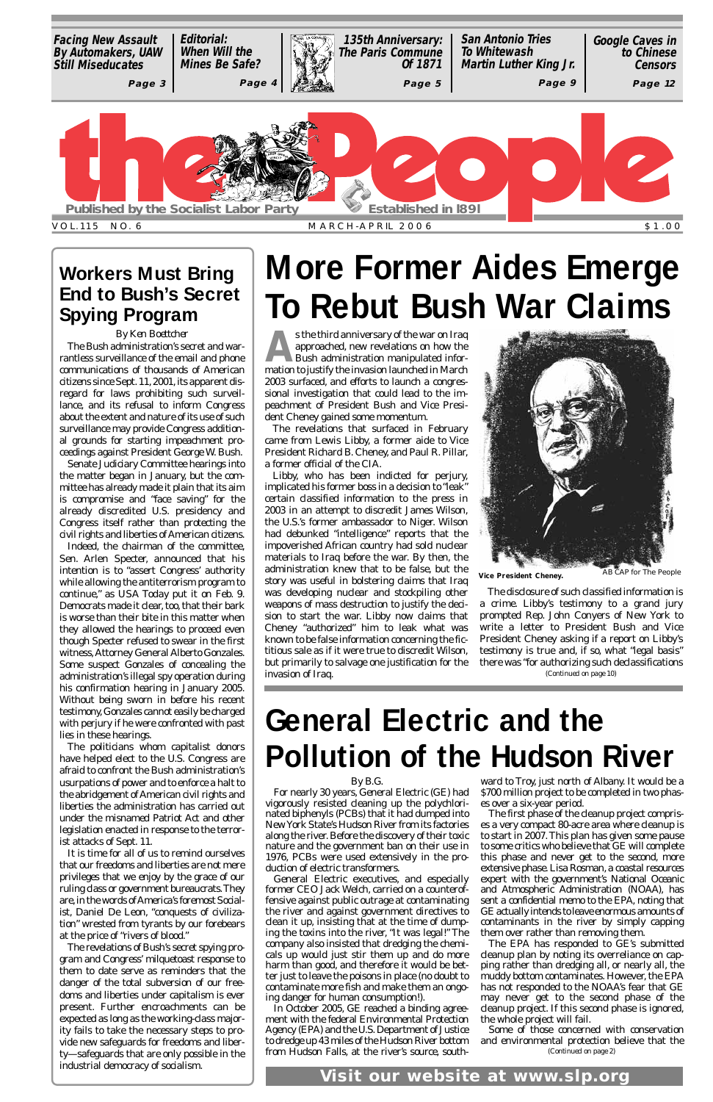s the third anniversary of the war on Iraq<br>approached, new revelations on how the<br>Bush administration manipulated inforapproached, new revelations on how the Bush administration manipulated information to justify the invasion launched in March 2003 surfaced, and efforts to launch a congressional investigation that could lead to the impeachment of President Bush and Vice President Cheney gained some momentum.

The revelations that surfaced in February came from Lewis Libby, a former aide to Vice President Richard B. Cheney, and Paul R. Pillar, a former official of the CIA.

Libby, who has been indicted for perjury, implicated his former boss in a decision to "leak" certain classified information to the press in 2003 in an attempt to discredit James Wilson, the U.S.'s former ambassador to Niger. Wilson had debunked "intelligence" reports that the impoverished African country had sold nuclear materials to Iraq before the war. By then, the administration knew that to be false, but the story was useful in bolstering claims that Iraq was developing nuclear and stockpiling other weapons of mass destruction to justify the decision to start the war. Libby now claims that Cheney "authorized" him to leak what was known to be false information concerning the fictitious sale as if it were true to discredit Wilson, but primarily to salvage one justification for the invasion of Iraq.



*By B.G.* vigorously resisted cleaning up the polychlori-es over a six-year period. nated biphenyls (PCBs) that it had dumped into New York State's Hudson River from its factories along the river. Before the discovery of their toxic nature and the government ban on their use in 1976, PCBs were used extensively in the production of electric transformers. General Electric executives, and especially former CEO Jack Welch, carried on a counteroffensive against public outrage at contaminating the river and against government directives to clean it up, insisting that at the time of dumping the toxins into the river, "It was legal!" The company also insisted that dredging the chemicals up would just stir them up and do more harm than good, and therefore it would be better just to leave the poisons in place (no doubt to contaminate more fish and make them an ongoing danger for human consumption!). In October 2005, GE reached a binding agreement with the federal Environmental Protection Agency (EPA) and the U.S.Department of Justice to dredge up 43 miles of the Hudson River bottom from Hudson Falls, at the river's source, south-

## **General Electric and the Pollution of the Hudson River**

*By Ken Boettcher*

The disclosure of such classified information is a crime. Libby's testimony to a grand jury prompted Rep. John Conyers of New York to write a letter to President Bush and Vice President Cheney asking if a report on Libby's testimony is true and, if so, what "legal basis" there was "for authorizing such declassifications *(Continued on page 10)*

For nearly 30 years, General Electric (GE) had \$700 million project to be completed in two phasward to Troy, just north of Albany. It would be a The first phase of the cleanup project comprises a very compact 80-acre area where cleanup is to start in 2007.This plan has given some pause to some critics who believe that GE will complete this phase and never get to the second, more extensive phase. Lisa Rosman, a coastal resources expert with the government's National Oceanic and Atmospheric Administration (NOAA), has sent a confidential memo to the EPA, noting that GE actually intends to leave enormous amounts of contaminants in the river by simply capping them over rather than removing them. The EPA has responded to GE's submitted cleanup plan by noting its overreliance on capping rather than dredging all, or nearly all, the muddy bottom contaminates. However, the EPA has not responded to the NOAA's fear that GE may never get to the second phase of the cleanup project. If this second phase is ignored, the whole project will fail. Some of those concerned with conservation and environmental protection believe that the *(Continued on page 2)*

The Bush administration's secret and warrantless surveillance of the email and phone communications of thousands of American citizens since Sept. 11, 2001, its apparent disregard for laws prohibiting such surveillance, and its refusal to inform Congress about the extent and nature of its use of such surveillance may provide Congress additional grounds for starting impeachment proceedings against President George W. Bush.



Senate Judiciary Committee hearings into the matter began in January, but the committee has already made it plain that its aim is compromise and "face saving" for the already discredited U.S. presidency and Congress itself rather than protecting the civil rights and liberties of American citizens.

Indeed, the chairman of the committee, Sen. Arlen Specter, announced that his intention is to "assert Congress' authority while allowing the antiterrorism program to continue," as *USA Today* put it on Feb. 9. Democrats made it clear, too, that their bark is worse than their bite in this matter when they allowed the hearings to proceed even though Specter refused to swear in the first witness,Attorney General Alberto Gonzales. Some suspect Gonzales of concealing the administration's illegal spy operation during his confirmation hearing in January 2005. Without being sworn in before his recent testimony,Gonzales cannot easily be charged with perjury if he were confronted with past lies in these hearings.

The politicians whom capitalist donors have helped elect to the U.S. Congress are afraid to confront the Bush administration's usurpations of power and to enforce a halt to the abridgement of American civil rights and liberties the administration has carried out

under the misnamed Patriot Act and other legislation enacted in response to the terrorist attacks of Sept. 11.

It is time for all of us to remind ourselves that our freedoms and liberties are not mere privileges that we enjoy by the grace of our ruling class or government bureaucrats.They are, in the words of America's foremost Socialist, Daniel De Leon, "conquests of civilization" wrested from tyrants by our forebears at the price of "rivers of blood."

The revelations of Bush's secret spying program and Congress' milquetoast response to them to date serve as reminders that the danger of the total subversion of our freedoms and liberties under capitalism is ever present. Further encroachments can be expected as long as the working-class majority fails to take the necessary steps to provide new safeguards for freedoms and liberty—safeguards that are only possible in the industrial democracy of socialism.

### **Workers Must Bring End to Bush's Secret Spying Program**

**Visit our website at www.slp.org**

AB CAP for The People **Vice President Cheney.**

## **More Former Aides Emerge To Rebut Bush War Claims**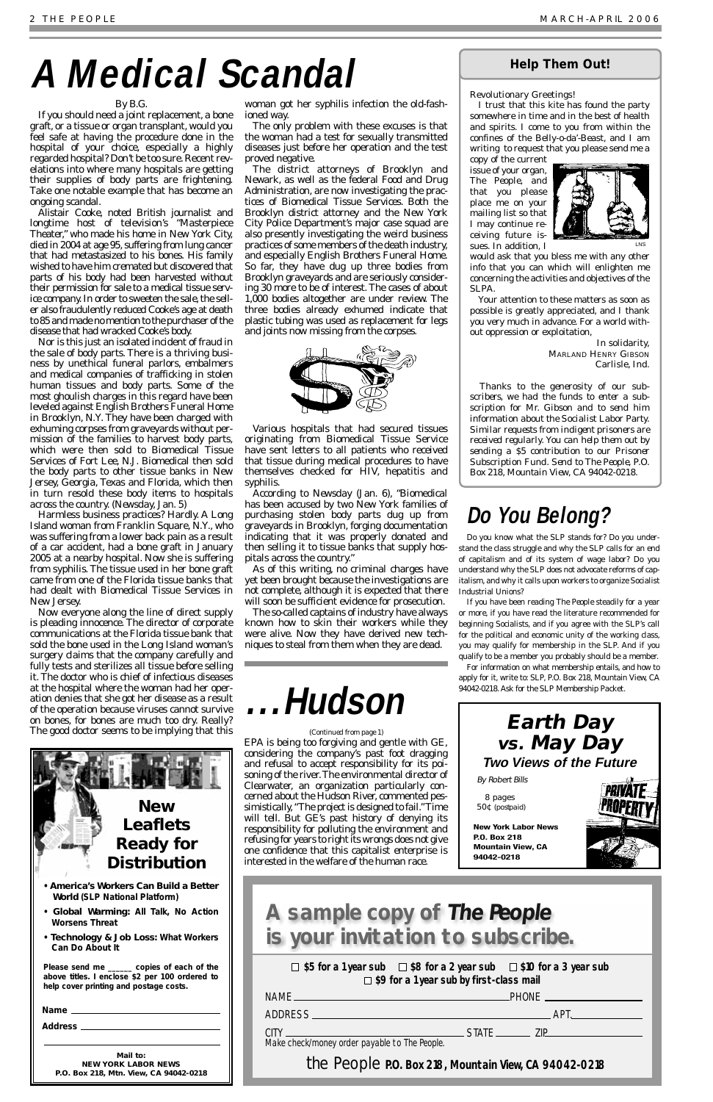### *By B.G.*

If you should need a joint replacement, a bone graft, or a tissue or organ transplant, would you feel safe at having the procedure done in the hospital of your choice, especially a highly regarded hospital? Don't be too sure. Recent revelations into where many hospitals are getting their supplies of body parts are frightening. Take one notable example that has become an ongoing scandal.

Alistair Cooke, noted British journalist and longtime host of television's "Masterpiece Theater," who made his home in New York City, died in 2004 at age 95, suffering from lung cancer that had metastasized to his bones. His family wished to have him cremated but discovered that parts of his body had been harvested without their permission for sale to a medical tissue service company. In order to sweeten the sale, the seller also fraudulently reduced Cooke's age at death to 85 and made no mention to the purchaser of the disease that had wracked Cooke's body.

Nor is this just an isolated incident of fraud in the sale of body parts. There is a thriving business by unethical funeral parlors, embalmers and medical companies of trafficking in stolen human tissues and body parts. Some of the most ghoulish charges in this regard have been leveled against English Brothers Funeral Home in Brooklyn, N.Y. They have been charged with exhuming corpses from graveyards without permission of the families to harvest body parts, which were then sold to Biomedical Tissue Services of Fort Lee, N.J. Biomedical then sold the body parts to other tissue banks in New Jersey, Georgia, Texas and Florida, which then in turn resold these body items to hospitals across the country. *(Newsday,* Jan. 5)

Harmless business practices? Hardly. A Long Island woman from Franklin Square, N.Y., who was suffering from a lower back pain as a result of a car accident, had a bone graft in January 2005 at a nearby hospital. Now she is suffering from syphilis. The tissue used in her bone graft came from one of the Florida tissue banks that had dealt with Biomedical Tissue Services in New Jersey.

> $\Box$  \$5 for a 1 year sub  $\Box$  \$8 for a 2 year sub  $\Box$  \$10 for a 3 year sub **\$9 for a 1 year sub by first-class mail**

Now everyone along the line of direct supply is pleading innocence. The director of corporate communications at the Florida tissue bank that sold the bone used in the Long Island woman's surgery claims that the company carefully and fully tests and sterilizes all tissue before selling it. The doctor who is chief of infectious diseases at the hospital where the woman had her operation denies that she got her disease as a result of the operation because viruses cannot survive on bones, for bones are much too dry. Really? The good doctor seems to be implying that this

woman got her syphilis infection the old-fashioned way.

The only problem with these excuses is that the woman had a test for sexually transmitted diseases just before her operation and the test proved negative.

The district attorneys of Brooklyn and Newark, as well as the federal Food and Drug Administration, are now investigating the practices of Biomedical Tissue Services. Both the Brooklyn district attorney and the New York City Police Department's major case squad are also presently investigating the weird business practices of some members of the death industry, and especially English Brothers Funeral Home. So far, they have dug up three bodies from Brooklyn graveyards and are seriously considering 30 more to be of interest. The cases of about 1,000 bodies altogether are under review. The three bodies already exhumed indicate that plastic tubing was used as replacement for legs and joints now missing from the corpses.



Various hospitals that had secured tissues originating from Biomedical Tissue Service have sent letters to all patients who received that tissue during medical procedures to have themselves checked for HIV, hepatitis and syphilis.

According to *Newsday* (Jan. 6), "Biomedical has been accused by two New York families of purchasing stolen body parts dug up from graveyards in Brooklyn, forging documentation indicating that it was properly donated and then selling it to tissue banks that supply hospitals across the country."

As of this writing, no criminal charges have yet been brought because the investigations are not complete, although it is expected that there will soon be sufficient evidence for prosecution.

The so-called captains of industry have always known how to skin their workers while they were alive. Now they have derived new techniques to steal from them when they are dead.

| <b>NAME</b>                                                                                                                 |              | PHONE. |
|-----------------------------------------------------------------------------------------------------------------------------|--------------|--------|
| ADDRESS.<br>the contract of the contract of the contract of the contract of the contract of the contract of the contract of |              | AP'    |
| (11)<br>the control of the control of the control of the control of                                                         | <b>STATE</b> |        |
| Make check/money order payable to The People.                                                                               |              |        |

**the People** P.O. Box 218, Mountain View, CA 94042-0218

### **A sample copy of The People is your invitation to subscribe.**

# **A Medical Scandal**

EPA is being too forgiving and gentle with GE, considering the company's past foot dragging and refusal to accept responsibility for its poisoning of the river.The environmental director of Clearwater, an organization particularly concerned about the Hudson River, commented pessimistically,"The project is designed to fail."Time will tell. But GE's past history of denying its responsibility for polluting the environment and refusing for years to right its wrongs does not give one confidence that this capitalist enterprise is interested in the welfare of the human race.





- *America's Workers Can Build a Better World* **(SLP National Platform)**
- *Global Warming: All Talk, No Action Worsens Threat*
- *Technology & Job Loss: What Workers Can Do About It*

*Please send me \_\_\_\_\_\_ copies of each of the above titles. I enclose \$2 per 100 ordered to help cover printing and postage costs.*

*Address*

**Mail to: NEW YORK LABOR NEWS P.O. Box 218, Mtn. View, CA 94042-0218**

### **Help Them Out!**

### Revolutionary Greetings!

I trust that this kite has found the party somewhere in time and in the best of health and spirits. I come to you from within the confines of the Belly-o-da'-Beast, and I am writing to request that you please send me a

copy of the current issue of your organ, *The People*, and that you please place me on your mailing list so that I may continue receiving future issues. In addition, I



would ask that you bless me with any other info that you can which will enlighten me concerning the activities and objectives of the SLPA.

Your attention to these matters as soon as possible is greatly appreciated, and I thank you very much in advance. For a world without oppression or exploitation,

> In solidarity, MARLAND HENRY GIBSON Carlisle, Ind.

*Thanks to the generosity of our subscribers, we had the funds to enter a subscription for Mr. Gibson and to send him information about the Socialist Labor Party. Similar requests from indigent prisoners are received regularly. You can help them out by sending a \$5 contribution to our Prisoner Subscription Fund. Send to The People, P.O. Box 218, Mountain View, CA 94042-0218.*

LNS

### **Do You Belong?**

Do you know what the SLP stands for? Do you understand the class struggle and why the SLP calls for an end of capitalism and of its system of wage labor? Do you understand why the SLP does not advocate reforms of capitalism, and why it calls upon workers to organize Socialist Industrial Unions?

If you have been reading *The People* steadily for a year or more, if you have read the literature recommended for beginning Socialists, and if you agree with the SLP's call for the political and economic unity of the working class, you may qualify for membership in the SLP. And if you qualify to be a member you probably should be a member.

For information on what membership entails, and how to apply for it, write to: SLP, P.O. Box 218, Mountain View, CA 94042-0218. Ask for the SLP Membership Packet.



8 pages 50¢ (postpaid)

**New York Labor News P.O. Box 218 Mountain View, CA 94042-0218**



**PRIVATE**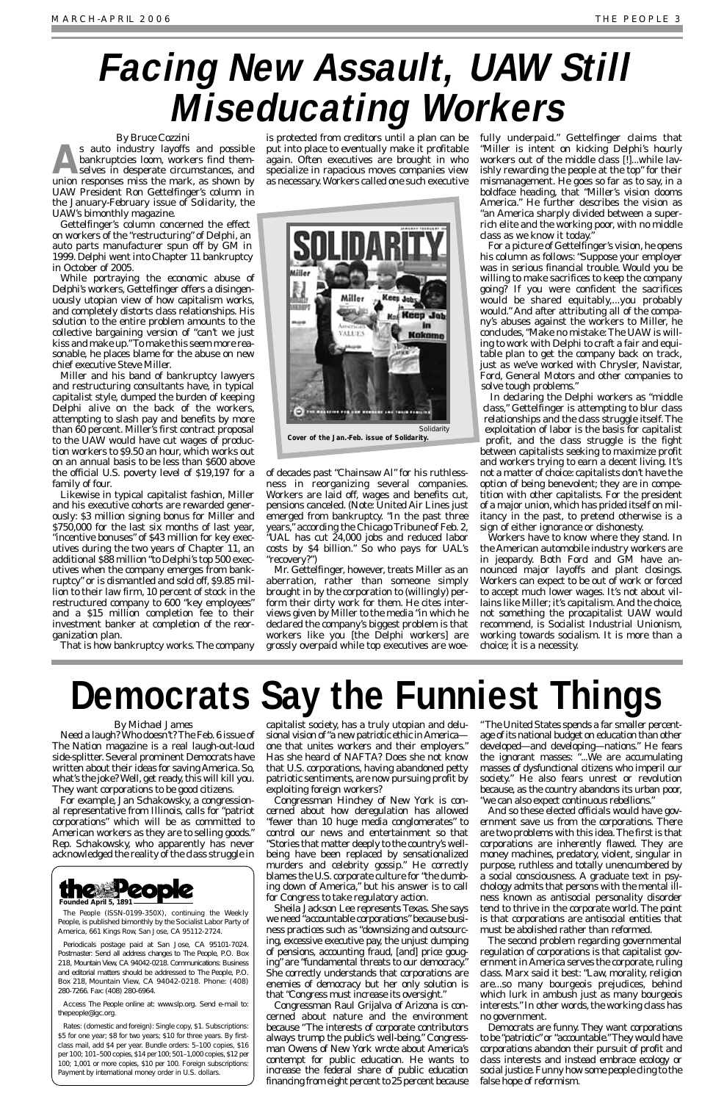### *By Michael James*

Need a laugh? Who doesn't? The Feb.6 issue of *The Nation* magazine is a real laugh-out-loud side-splitter. Several prominent Democrats have written about their ideas for saving America. So, what's the joke? Well, get ready, this will kill you. They want corporations to be good citizens.

For example, Jan Schakowsky, a congressional representative from Illinois, calls for "patriot corporations" which will be as committed to American workers as they are to selling goods." Rep. Schakowsky, who apparently has never acknowledged the reality of the class struggle in capitalist society, has a truly utopian and delusional vision of "a new patriotic ethic in Americaone that unites workers and their employers." Has she heard of NAFTA? Does she not know that U.S. corporations, having abandoned petty patriotic sentiments, are now pursuing profit by exploiting foreign workers?

Congressman Hinchey of New York is concerned about how deregulation has allowed "fewer than 10 huge media conglomerates" to control our news and entertainment so that "Stories that matter deeply to the country's wellbeing have been replaced by sensationalized murders and celebrity gossip." He correctly blames the U.S. corporate culture for "the dumbing down of America," but his answer is to call for Congress to take regulatory action. Sheila Jackson Lee represents Texas. She says we need "accountable corporations" because business practices such as "downsizing and outsourcing, excessive executive pay, the unjust dumping of pensions, accounting fraud, [and] price gouging" are "fundamental threats to our democracy." She correctly understands that corporations are enemies of democracy but her only solution is that "Congress must increase its oversight." Congressman Raul Grijalva of Arizona is concerned about nature and the environment because "The interests of corporate contributors always trump the public's well-being." Congressman Owens of New York wrote about America's contempt for public education. He wants to increase the federal share of public education financing from eight percent to 25 percent because

s auto industry layoffs and possible<br>
selves in desperate circumstances, and<br>
union reconosce miss the mark as shown by bankruptcies loom, workers find themunion responses miss the mark, as shown by UAW President Ron Gettelfinger's column in the January-February issue of *Solidarity*, the UAW's bimonthly magazine.

> "The United States spends a far smaller percentage of its national budget on education than other developed—and developing—nations." He fears the ignorant masses: "...We are accumulating masses of dysfunctional citizens who imperil our society." He also fears unrest or revolution because, as the country abandons its urban poor, "we can also expect continuous rebellions."

And so these elected officials would have government save us from the corporations. There are two problems with this idea.The first is that corporations are inherently flawed. They are money machines, predatory, violent, singular in purpose, ruthless and totally unencumbered by a social consciousness. A graduate text in psychology admits that persons with the mental illness known as antisocial personality disorder tend to thrive in the corporate world. The point is that corporations are antisocial entities that must be abolished rather than reformed. The second problem regarding governmental regulation of corporations is that capitalist government in America serves the corporate, ruling class. Marx said it best: "Law, morality, religion are...so many bourgeois prejudices, behind which lurk in ambush just as many bourgeois interests." In other words, the working class has no government. Democrats are funny. They want corporations to be "patriotic" or "accountable."They would have corporations abandon their pursuit of profit and class interests and instead embrace ecology or social justice. Funny how some people cling to the false hope of reformism.

### *By Bruce Cozzini*

Gettelfinger's column concerned the effect on workers of the "restructuring" of Delphi, an auto parts manufacturer spun off by GM in 1999. Delphi went into Chapter 11 bankruptcy in October of 2005.

While portraying the economic abuse of Delphi's workers, Gettelfinger offers a disingenuously utopian view of how capitalism works, and completely distorts class relationships. His solution to the entire problem amounts to the collective bargaining version of "can't we just kiss and make up."To make this seem more reasonable, he places blame for the abuse on new chief executive Steve Miller.

Miller and his band of bankruptcy lawyers and restructuring consultants have, in typical capitalist style, dumped the burden of keeping Delphi alive on the back of the workers, attempting to slash pay and benefits by more than 60 percent. Miller's first contract proposal to the UAW would have cut wages of production workers to \$9.50 an hour, which works out on an annual basis to be less than \$600 above the official U.S. poverty level of \$19,197 for a family of four.

Likewise in typical capitalist fashion, Miller and his executive cohorts are rewarded generously: \$3 million signing bonus for Miller and \$750,000 for the last six months of last year, "incentive bonuses" of \$43 million for key executives during the two years of Chapter 11, an additional \$88 million "to Delphi's top 500 executives when the company emerges from bankruptcy" or is dismantled and sold off, \$9.85 million to their law firm, 10 percent of stock in the restructured company to 600 "key employees" and a \$15 million completion fee to their investment banker at completion of the reorganization plan.

That is how bankruptcy works. The company

is protected from creditors until a plan can be put into place to eventually make it profitable again. Often executives are brought in who specialize in rapacious moves companies view as necessary.Workers called one such executive

of decades past "Chainsaw Al" for his ruthlessness in reorganizing several companies. Workers are laid off, wages and benefits cut, pensions canceled. (Note: United Air Lines just emerged from bankruptcy. "In the past three years," according the *Chicago Tribune* of Feb. 2, "UAL has cut 24,000 jobs and reduced labor costs by \$4 billion." So who pays for UAL's "recovery?")

Mr. Gettelfinger, however, treats Miller as an aberration, rather than someone simply brought in by the corporation to (willingly) perform their dirty work for them. He cites interviews given by Miller to the media "in which he declared the company's biggest problem is that workers like you [the Delphi workers] are grossly overpaid while top executives are woefully underpaid." Gettelfinger claims that "Miller is intent on kicking Delphi's hourly workers out of the middle class [!]...while lavishly rewarding the people at the top" for their mismanagement. He goes so far as to say, in a boldface heading, that "Miller's vision dooms America." He further describes the vision as "an America sharply divided between a superrich elite and the working poor, with no middle class as we know it today."

For a picture of Gettelfinger's vision, he opens his column as follows: "Suppose your employer was in serious financial trouble. Would you be willing to make sacrifices to keep the company going? If you were confident the sacrifices would be shared equitably,...you probably would." And after attributing all of the company's abuses against the workers to Miller, he concludes, "Make no mistake: The UAW is willing to work with Delphi to craft a fair and equitable plan to get the company back on track, just as we've worked with Chrysler, Navistar, Ford, General Motors and other companies to solve tough problems."

In declaring the Delphi workers as "middle class," Gettelfinger is attempting to blur class relationships and the class struggle itself. The exploitation of labor is the basis for capitalist profit, and the class struggle is the fight between capitalists seeking to maximize profit and workers trying to earn a decent living. It's not a matter of choice: capitalists don't have the option of being benevolent; they are in competition with other capitalists. For the president of a major union, which has prided itself on militancy in the past, to pretend otherwise is a sign of either ignorance or dishonesty.

Workers have to know where they stand. In the American automobile industry workers are in jeopardy. Both Ford and GM have announced major layoffs and plant closings. Workers can expect to be out of work or forced to accept much lower wages. It's not about villains like Miller; it's capitalism. And the choice, not something the procapitalist UAW would recommend, is Socialist Industrial Unionism, working towards socialism. It is more than a choice; it is a necessity.

# **Facing New Assault, UAW Still Miseducating Workers**



*The People* (ISSN-0199-350X), continuing the *Weekly People*, is published bimonthly by the Socialist Labor Party of America, 661 Kings Row, San Jose, CA 95112-2724.

Periodicals postage paid at San Jose, CA 95101-7024. Postmaster: Send all address changes to *The People*, P.O. Box 218, Mountain View, CA 94042-0218. Communications: Business and editorial matters should be addressed to *The People*, P.O. Box 218, Mountain View, CA 94042-0218. Phone: (408) 280-7266. Fax: (408) 280-6964.

Access *The People* online at: www.slp.org. Send e-mail to: thepeople@igc.org.

Rates: (domestic and foreign): Single copy, \$1. Subscriptions: \$5 for one year; \$8 for two years; \$10 for three years. By firstclass mail, add \$4 per year. Bundle orders: 5–100 copies, \$16 per 100; 101–500 copies, \$14 per 100; 501–1,000 copies, \$12 per 100; 1,001 or more copies, \$10 per 100. Foreign subscriptions: Payment by international money order in U.S. dollars.



**Cover of the Jan.-Feb. issue of Solidarity.**

# **Democrats Say the Funniest Things**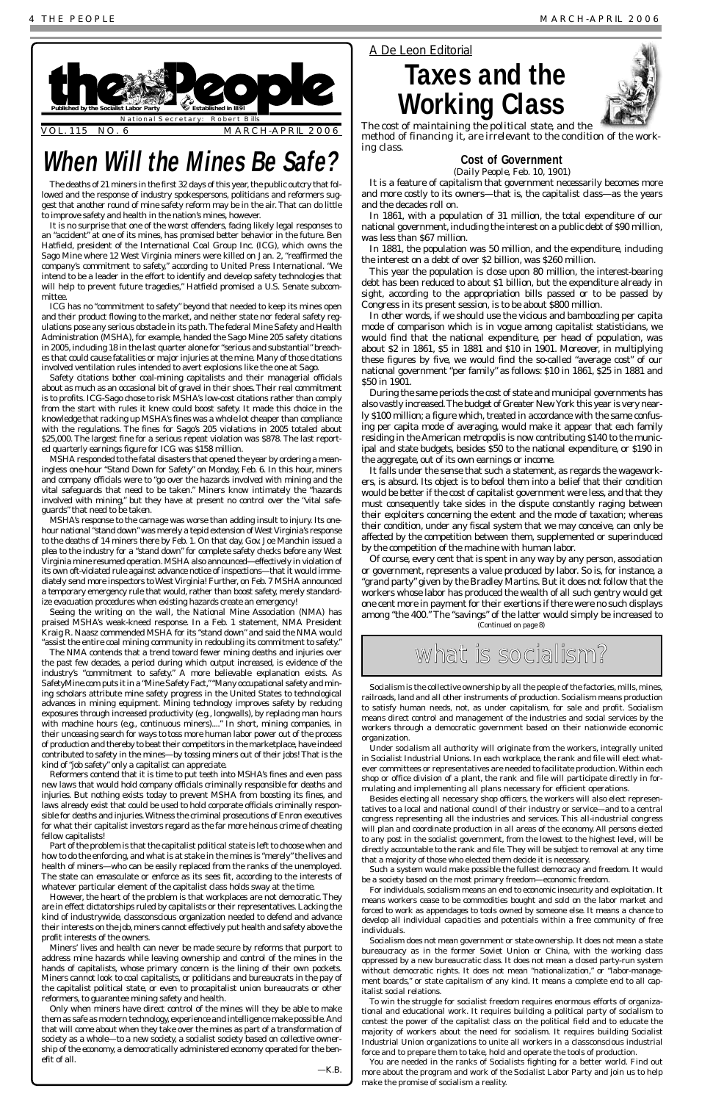### **Cost of Government**

(*Daily People*, Feb. 10, 1901)

It is a feature of capitalism that government necessarily becomes more and more costly to its owners—that is, the capitalist class—as the years and the decades roll on.

In 1861, with a population of 31 million, the total expenditure of our national government, including the interest on a public debt of \$90 million, was less than \$67 million.

In 1881, the population was 50 million, and the expenditure, including the interest on a debt of over \$2 billion, was \$260 million.

This year the population is close upon 80 million, the interest-bearing debt has been reduced to about \$1 billion, but the expenditure already in sight, according to the appropriation bills passed or to be passed by Congress in its present session, is to be about \$800 million.

In other words, if we should use the vicious and bamboozling per capita mode of comparison which is in vogue among capitalist statisticians, we would find that the national expenditure, per head of population, was about \$2 in 1861, \$5 in 1881 and \$10 in 1901. Moreover, in multiplying these figures by five, we would find the so-called "average cost" of our national government "per family" as follows: \$10 in 1861, \$25 in 1881 and \$50 in 1901.

During the same periods the cost of state and municipal governments has also vastly increased.The budget of Greater New York this year is very nearly \$100 million; a figure which, treated in accordance with the same confusing per capita mode of averaging, would make it appear that each family residing in the American metropolis is now contributing \$140 to the municipal and state budgets, besides \$50 to the national expenditure, or \$190 in the aggregate, out of its own earnings or income.

It falls under the sense that such a statement, as regards the wageworkers, is absurd. Its object is to befool them into a belief that their condition would be better if the cost of capitalist government were less, and that they must consequently take sides in the dispute constantly raging between their exploiters concerning the extent and the mode of taxation; whereas their condition, under any fiscal system that we may conceive, can only be affected by the competition between them, supplemented or superinduced by the competition of the machine with human labor.

### *A De Leon Editorial*

### **Taxes and the Working Class**



*The cost of maintaining the political state, and the method of financing it, are irrelevant to the condition of the working class.*

The deaths of 21 miners in the first 32 days of this year, the public outcry that followed and the response of industry spokespersons, politicians and reformers suggest that another round of mine safety reform may be in the air. That can do little to improve safety and health in the nation's mines, however.

It is no surprise that one of the worst offenders, facing likely legal responses to an "accident" at one of its mines, has promised better behavior in the future. Ben Hatfield, president of the International Coal Group Inc. (ICG), which owns the Sago Mine where 12 West Virginia miners were killed on Jan. 2, "reaffirmed the company's commitment to safety," according to United Press International. "We intend to be a leader in the effort to identify and develop safety technologies that will help to prevent future tragedies," Hatfield promised a U.S. Senate subcommittee.

ICG has no "commitment to safety" beyond that needed to keep its mines open and their product flowing to the market, and neither state nor federal safety regulations pose any serious obstacle in its path. The federal Mine Safety and Health Administration (MSHA), for example, handed the Sago Mine 205 safety citations in 2005, including 18 in the last quarter alone for "serious and substantial" breaches that could cause fatalities or major injuries at the mine. Many of those citations involved ventilation rules intended to avert explosions like the one at Sago.

Safety citations bother coal-mining capitalists and their managerial officials about as much as an occasional bit of gravel in their shoes.Their real commitment is to profits. ICG-Sago chose to risk MSHA's low-cost citations rather than comply from the start with rules it knew could boost safety. It made this choice in the knowledge that racking up MSHA's fines was a whole lot cheaper than compliance with the regulations. The fines for Sago's 205 violations in 2005 totaled about \$25,000. The largest fine for a serious repeat violation was \$878. The last reported quarterly earnings figure for ICG was \$158 million.

MSHA responded to the fatal disasters that opened the year by ordering a meaningless one-hour "Stand Down for Safety" on Monday, Feb. 6. In this hour, miners and company officials were to "go over the hazards involved with mining and the vital safeguards that need to be taken." Miners know intimately the "hazards involved with mining," but they have at present no control over the "vital safeguards" that need to be taken.

MSHA's response to the carnage was worse than adding insult to injury. Its onehour national "stand down" was merely a tepid extension of West Virginia's response to the deaths of 14 miners there by Feb. 1. On that day, Gov. Joe Manchin issued a plea to the industry for a "stand down" for complete safety checks before any West Virginia mine resumed operation. MSHA also announced—effectively in violation of its own oft-violated rule against advance notice of inspections—that it would immediately send more inspectors to West Virginia! Further, on Feb. 7 MSHA announced a *temporary* emergency rule that would, rather than boost safety, merely standardize evacuation procedures when existing hazards create an emergency!



Seeing the writing on the wall, the National Mine Association (NMA) has praised MSHA's weak-kneed response. In a Feb. 1 statement, NMA President Kraig R. Naasz commended MSHA for its "stand down" and said the NMA would "assist the entire coal mining community in redoubling its commitment to safety."

The NMA contends that a trend toward fewer mining deaths and injuries over the past few decades, a period during which output increased, is evidence of the industry's "commitment to safety." A more believable explanation exists. As SafetyMine.com puts it in a "Mine Safety Fact,""Many occupational safety and mining scholars attribute mine safety progress in the United States to technological advances in mining equipment. Mining technology improves safety by reducing exposures through increased productivity (e.g., longwalls), by replacing man hours with machine hours (e.g., continuous miners)...." In short, mining companies, in their unceasing search for ways to toss more human labor power out of the process of production and thereby to beat their competitors in the marketplace, have indeed contributed to safety in the mines—by tossing miners out of their jobs! That is the kind of "job safety" only a capitalist can appreciate.

Of course, every cent that is spent in any way by any person, association or government, represents a value produced by labor. So is, for instance, a "grand party" given by the Bradley Martins. But it does not follow that the workers whose labor has produced the wealth of all such gentry would get one cent more in payment for their exertions if there were no such displays among "the 400." The "savings" of the latter would simply be increased to *(Continued on page 8)*

what is socialism?

Reformers contend that it is time to put teeth into MSHA's fines and even pass new laws that would hold company officials criminally responsible for deaths and injuries. But nothing exists today to prevent MSHA from boosting its fines, and laws already exist that could be used to hold corporate officials criminally responsible for deaths and injuries.Witness the criminal prosecutions of Enron executives for what their capitalist investors regard as the far more heinous crime of cheating fellow capitalists! Part of the problem is that the capitalist political state is left to choose when and how to do the enforcing, and what is at stake in the mines is "merely" the lives and health of miners—who can be easily replaced from the ranks of the unemployed. The state can emasculate or enforce as its sees fit, according to the interests of whatever particular element of the capitalist class holds sway at the time. However, the heart of the problem is that workplaces are not democratic. They are in effect dictatorships ruled by capitalists or their representatives. Lacking the kind of industrywide, classconscious organization needed to defend and advance their interests on the job, miners cannot effectively put health and safety above the profit interests of the owners. Miners' lives and health can never be made secure by reforms that purport to address mine hazards while leaving ownership and control of the mines in the hands of capitalists, whose primary concern is the lining of their own pockets. Miners cannot look to coal capitalists, or politicians and bureaucrats in the pay of the capitalist political state, or even to procapitalist union bureaucrats or other reformers, to guarantee mining safety and health. Only when miners have direct control of the mines will they be able to make them as safe as modern technology, experience and intelligence make possible. And that will come about when they take over the mines as part of a transformation of society as a whole—to a new society, a socialist society based on collective ownership of the economy, a democratically administered economy operated for the benefit of all.

*—K.B.*

### **When Will the Mines Be Safe?**

Socialism is the collective ownership by all the people of the factories, mills, mines, railroads, land and all other instruments of production. Socialism means production to satisfy human needs, not, as under capitalism, for sale and profit. Socialism means direct control and management of the industries and social services by the workers through a democratic government based on their nationwide economic organization.

Under socialism all authority will originate from the workers, integrally united in Socialist Industrial Unions. In each workplace, the rank and file will elect whatever committees or representatives are needed to facilitate production. Within each shop or office division of a plant, the rank and file will participate directly in formulating and implementing all plans necessary for efficient operations.

Besides electing all necessary shop officers, the workers will also elect represenitives to a local and national council of their industry or service—and to  $\varepsilon$ congress representing all the industries and services. This all-industrial congress will plan and coordinate production in all areas of the economy. All persons elected to any post in the socialist government, from the lowest to the highest level, will be directly accountable to the rank and file. They will be subject to removal at any time that a majority of those who elected them decide it is necessary.

Such a system would make possible the fullest democracy and freedom. It would be a society based on the most primary freedom—economic freedom.

For individuals, socialism means an end to economic insecurity and exploitation. It means workers cease to be commodities bought and sold on the labor market and forced to work as appendages to tools owned by someone else. It means a chance to develop all individual capacities and potentials within a free community of free individuals.

Socialism does not mean government or state ownership. It does not mean a state bureaucracy as in the former Soviet Union or China, with the working class oppressed by a new bureaucratic class. It does not mean a closed party-run system without democratic rights. It does not mean "nationalization," or "labor-management boards," or state capitalism of any kind. It means a complete end to all capitalist social relations.

To win the struggle for socialist freedom requires enormous efforts of organizational and educational work. It requires building a political party of socialism to contest the power of the capitalist class on the political field and to educate the majority of workers about the need for socialism. It requires building Socialist Industrial Union organizations to unite all workers in a classconscious industrial force and to prepare them to take, hold and operate the tools of production.

You are needed in the ranks of Socialists fighting for a better world. Find out more about the program and work of the Socialist Labor Party and join us to help make the promise of socialism a reality.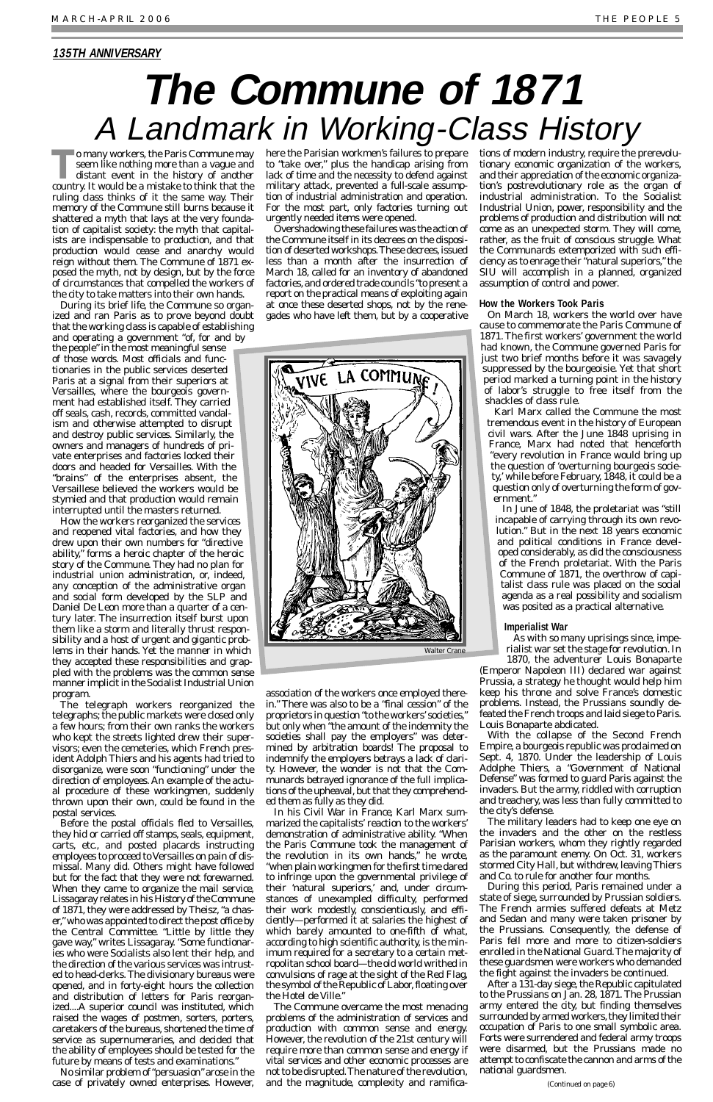**To many workers, the Paris Commune may**<br>seem like nothing more than a vague and<br>distant event in the history of another seem like nothing more than a vague and country. It would be a mistake to think that the ruling class thinks of it the same way. Their memory of the Commune still burns because it shattered a myth that lays at the very foundation of capitalist society: the myth that capitalists are indispensable to production, and that production would cease and anarchy would reign without them. The Commune of 1871 exposed the myth, not by design, but by the force of circumstances that compelled the workers of the city to take matters into their own hands.

During its brief life, the Commune so organized and ran Paris as to prove beyond doubt that the working class is capable of establishing and operating a government "of, for and by

the people" in the most meaningful sense of those words. Most officials and functionaries in the public services deserted Paris at a signal from their superiors at Versailles, where the bourgeois government had established itself. They carried off seals, cash, records, committed vandalism and otherwise attempted to disrupt and destroy public services. Similarly, the owners and managers of hundreds of private enterprises and factories locked their doors and headed for Versailles. With the "brains" of the enterprises absent, the Versaillese believed the workers would be stymied and that production would remain interrupted until the masters returned.

How the workers reorganized the services and reopened vital factories, and how they drew upon their own numbers for "directive ability," forms a heroic chapter of the heroic story of the Commune. They had no plan for industrial union administration, or, indeed, any conception of the administrative organ and social form developed by the SLP and Daniel De Leon more than a quarter of a century later. The insurrection itself burst upon them like a storm and literally thrust responsibility and a host of urgent and gigantic problems in their hands. Yet the manner in which they accepted these responsibilities and grappled with the problems was the *common sense* manner implicit in the Socialist Industrial Union program.

The telegraph workers reorganized the telegraphs; the public markets were closed only a few hours; from their own ranks the workers who kept the streets lighted drew their supervisors; even the cemeteries, which French president Adolph Thiers and his agents had tried to disorganize, were soon "functioning" under the direction of employees. An example of the actual procedure of these workingmen, suddenly thrown upon their own, could be found in the

postal services.

Before the postal officials fled to Versailles, they hid or carried off stamps, seals, equipment, carts, etc., and posted placards instructing employees to proceed to Versailles on pain of dismissal. Many did. Others might have followed but for the fact that they were not forewarned. When they came to organize the mail service, Lissagaray relates in his *History of the Commune of 1871*, they were addressed by Theisz, "a chaser,"who was appointed to direct the post office by the Central Committee. "Little by little they gave way," writes Lissagaray. "Some functionaries who were Socialists also lent their help, and the direction of the various services was intrusted to head-clerks. The divisionary bureaus were opened, and in forty-eight hours the collection and distribution of letters for Paris reorganized....A superior council was instituted, which raised the wages of postmen, sorters, porters, caretakers of the bureaus, shortened the time of service as supernumeraries, and decided that the ability of employees should be tested for the future by means of tests and examinations."

No similar problem of "persuasion"arose in the case of privately owned enterprises. However,

to "take over," plus the handicap arising from lack of time and the necessity to defend against military attack, prevented a full-scale assumption of industrial administration and operation. For the most part, only factories turning out urgently needed items were opened.

Overshadowing these failures was the action of the Commune itself in its decrees on the disposition of deserted workshops. These decrees, issued less than a month after the insurrection of March 18, called for an inventory of abandoned factories, and ordered trade councils "to present a report on the practical means of exploiting again at once these deserted shops, not by the renegades who have left them, but by a cooperative

here the Parisian workmen's failures to prepare tions of modern industry, require the prerevolutionary economic organization of the workers, and their appreciation of the economic organization's postrevolutionary role as the organ of industrial administration. To the Socialist Industrial Union, power, responsibility and the problems of production and distribution will not come as an unexpected storm. They will come, rather, as the fruit of conscious struggle. What the Communards extemporized with such efficiency as to enrage their "natural superiors," the SIU will accomplish in a planned, organized assumption of control and power.

association of the workers once employed therein." There was also to be a "final cession" of the proprietors in question "to the workers' societies," but only when "the amount of the indemnity the societies shall pay the employers" was determined by arbitration boards! The proposal to indemnify the employers betrays a lack of clarity. However, the wonder is not that the Communards betrayed ignorance of the full implications of the upheaval, but that they comprehended them as fully as they did. In his *Civil War in France*, Karl Marx summarized the capitalists' reaction to the workers' demonstration of administrative ability. "When the Paris Commune took the management of the revolution in its own hands," he wrote, "when plain workingmen for the first time dared to infringe upon the governmental privilege of their 'natural superiors,' and, under circumstances of unexampled difficulty, performed their work modestly, conscientiously, and efficiently—performed it at salaries the highest of which barely amounted to one-fifth of what, according to high scientific authority, is the minimum required for a secretary to a certain metropolitan school board—the old world writhed in convulsions of rage at the sight of the Red Flag, the symbol of the Republic of Labor, floating over the Hotel de Ville." The Commune overcame the most menacing problems of the administration of services and production with common sense and energy. However, the revolution of the 21st century will require more than common sense and energy if vital services and other economic processes are not to be disrupted.The nature of the revolution, and the magnitude, complexity and ramifica-

### **How the Workers Took Paris**

On March 18, workers the world over have cause to commemorate the Paris Commune of 1871. The first workers' government the world had known, the Commune governed Paris for just two brief months before it was savagely suppressed by the bourgeoisie. Yet that short period marked a turning point in the history of labor's struggle to free itself from the shackles of class rule.

Karl Marx called the Commune the most tremendous event in the history of European civil wars. After the June 1848 uprising in France, Marx had noted that henceforth "every revolution in France would bring up the question of 'overturning bourgeois society,' while before February, 1848, it could be a question only of overturning the form of government."

In June of 1848, the proletariat was "still incapable of carrying through its own revolution." But in the next 18 years economic and political conditions in France developed considerably, as did the consciousness of the French proletariat. With the Paris Commune of 1871, the overthrow of capitalist class rule was placed on the social agenda as a real possibility and socialism was posited as a practical alternative.

### **Imperialist War**

As with so many uprisings since, imperialist war set the stage for revolution. In 1870, the adventurer Louis Bonaparte

(Emperor Napoleon III) declared war against Prussia, a strategy he thought would help him keep his throne and solve France's domestic problems. Instead, the Prussians soundly defeated the French troops and laid siege to Paris. Louis Bonaparte abdicated.

With the collapse of the Second French Empire, a bourgeois republic was proclaimed on Sept. 4, 1870. Under the leadership of Louis Adolphe Thiers, a "Government of National Defense" was formed to guard Paris against the invaders. But the army, riddled with corruption and treachery, was less than fully committed to

the city's defense.

The military leaders had to keep one eye on the invaders and the other on the restless Parisian workers, whom they rightly regarded as the paramount enemy. On Oct. 31, workers stormed City Hall, but withdrew, leaving Thiers and Co. to rule for another four months.

During this period, Paris remained under a state of siege, surrounded by Prussian soldiers. The French armies suffered defeats at Metz and Sedan and many were taken prisoner by the Prussians. Consequently, the defense of Paris fell more and more to citizen-soldiers enrolled in the National Guard.The majority of these guardsmen were workers who demanded the fight against the invaders be continued.

After a 131-day siege, the Republic capitulated to the Prussians on Jan. 28, 1871. The Prussian army entered the city, but finding themselves surrounded by armed workers, they limited their occupation of Paris to one small symbolic area. Forts were surrendered and federal army troops were disarmed, but the Prussians made no attempt to confiscate the cannon and arms of the national guardsmen.

### **135TH ANNIVERSARY**

# **The Commune of 1871** A Landmark in Working-Class History

*(Continued on page 6)*

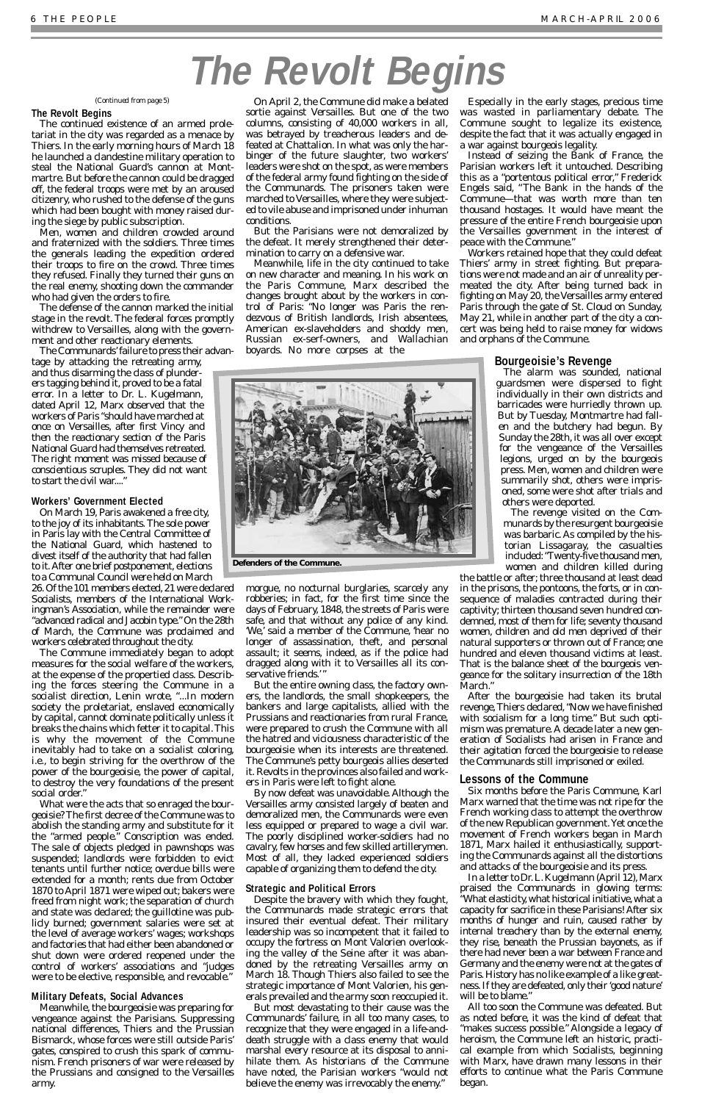### **The Revolt Begins**

The continued existence of an armed proletariat in the city was regarded as a menace by Thiers. In the early morning hours of March 18 he launched a clandestine military operation to steal the National Guard's cannon at Montmartre. But before the cannon could be dragged off, the federal troops were met by an aroused citizenry, who rushed to the defense of the guns which had been bought with money raised during the siege by public subscription.

tage by attacking the retreating army, and thus disarming the class of plunderers tagging behind it, proved to be a fatal error. In a letter to Dr. L. Kugelmann, dated April 12, Marx observed that the workers of Paris "should have marched at once on Versailles, after first Vincy and then the reactionary section of the Paris National Guard had themselves retreated. The right moment was missed because of conscientious scruples. They did not want to start the civil war...."

Men, women and children crowded around and fraternized with the soldiers. Three times the generals leading the expedition ordered their troops to fire on the crowd. Three times they refused. Finally they turned their guns on the real enemy, shooting down the commander who had given the orders to fire.

The defense of the cannon marked the initial stage in the revolt. The federal forces promptly withdrew to Versailles, along with the government and other reactionary elements.

The Communards' failure to press their advan-

### **Workers' Government Elected**

On March 19, Paris awakened a free city, to the joy of its inhabitants. The sole power in Paris lay with the Central Committee of the National Guard, which hastened to divest itself of the authority that had fallen to it.After one brief postponement, elections to a Communal Council were held on March

26. Of the 101 members elected, 21 were declared Socialists, members of the International Workingman's Association, while the remainder were "advanced radical and Jacobin type." On the 28th of March, the Commune was proclaimed and workers celebrated throughout the city.

The Commune immediately began to adopt measures for the social welfare of the workers, at the expense of the propertied class. Describing the forces steering the Commune in a socialist direction, Lenin wrote, "...In modern society the proletariat, enslaved economically by capital, cannot dominate politically unless it breaks the chains which fetter it to capital.This is why the movement of the Commune inevitably had to take on a socialist coloring, i.e., to begin striving for the overthrow of the power of the bourgeoisie, the power of capital, to destroy the very foundations of the present social order."

What were the acts that so enraged the bour-

geoisie? The first decree of the Commune was to abolish the standing army and substitute for it the "armed people." Conscription was ended. The sale of objects pledged in pawnshops was suspended; landlords were forbidden to evict tenants until further notice; overdue bills were extended for a month; rents due from October 1870 to April 1871 were wiped out; bakers were freed from night work; the separation of church and state was declared; the guillotine was publicly burned; government salaries were set at the level of average workers' wages; workshops and factories that had either been abandoned or shut down were ordered reopened under the control of workers' associations and "judges were to be elective, responsible, and revocable."

### **Military Defeats, Social Advances**

Meanwhile, the bourgeoisie was preparing for vengeance against the Parisians. Suppressing national differences, Thiers and the Prussian Bismarck, whose forces were still outside Paris' gates, conspired to crush this spark of communism. French prisoners of war were released by the Prussians and consigned to the Versailles army.

On April 2, the Commune did make a belated sortie against Versailles. But one of the two columns, consisting of 40,000 workers in all, was betrayed by treacherous leaders and defeated at Chattalion. In what was only the harbinger of the future slaughter, two workers' leaders were shot on the spot, as were members of the federal army found fighting on the side of the Communards. The prisoners taken were marched to Versailles, where they were subjected to vile abuse and imprisoned under inhuman conditions.

But the Parisians were not demoralized by the defeat. It merely strengthened their determination to carry on a defensive war.

Meanwhile, life in the city continued to take on new character and meaning. In his work on the Paris Commune, Marx described the changes brought about by the workers in control of Paris: "No longer was Paris the rendezvous of British landlords, Irish absentees, American ex-slaveholders and shoddy men, Russian ex-serf-owners, and Wallachian boyards. No more corpses at the

morgue, no nocturnal burglaries, scarcely any robberies; in fact, for the first time since the days of February, 1848, the streets of Paris were safe, and that without any police of any kind. 'We,' said a member of the Commune, 'hear no longer of assassination, theft, and personal assault; it seems, indeed, as if the police had dragged along with it to Versailles all its conservative friends.'"

But the entire owning class, the factory owners, the landlords, the small shopkeepers, the bankers and large capitalists, allied with the Prussians and reactionaries from rural France, were prepared to crush the Commune with all the hatred and viciousness characteristic of the bourgeoisie when its interests are threatened. The Commune's petty bourgeois allies deserted it. Revolts in the provinces also failed and workers in Paris were left to fight alone.

By now defeat was unavoidable. Although the Versailles army consisted largely of beaten and

demoralized men, the Communards were even less equipped or prepared to wage a civil war. The poorly disciplined worker-soldiers had no cavalry, few horses and few skilled artillerymen. Most of all, they lacked experienced soldiers capable of organizing them to defend the city.

### **Strategic and Political Errors**

Despite the bravery with which they fought, the Communards made strategic errors that insured their eventual defeat. Their military leadership was so incompetent that it failed to occupy the fortress on Mont Valorien overlooking the valley of the Seine after it was abandoned by the retreating Versailles army on March 18. Though Thiers also failed to see the strategic importance of Mont Valorien, his generals prevailed and the army soon reoccupied it.

But most devastating to their cause was the Communards' failure, in all too many cases, to recognize that they were engaged in a life-anddeath struggle with a class enemy that would marshal every resource at its disposal to annihilate them. As historians of the Commune have noted, the Parisian workers "would not believe the enemy was irrevocably the enemy."

Especially in the early stages, precious time was wasted in parliamentary debate. The Commune sought to legalize its existence, despite the fact that it was actually engaged in a war against bourgeois legality.

Instead of seizing the Bank of France, the Parisian workers left it untouched. Describing this as a "portentous political error," Frederick Engels said, "The Bank in the hands of the Commune—that was worth more than ten thousand hostages. It would have meant the pressure of the entire French bourgeoisie upon the Versailles government in the interest of peace with the Commune."

Workers retained hope that they could defeat Thiers' army in street fighting. But preparations were not made and an air of unreality permeated the city. After being turned back in fighting on May 20, the Versailles army entered Paris through the gate of St. Cloud on Sunday, May 21, while in another part of the city a concert was being held to raise money for widows and orphans of the Commune.

### **Bourgeoisie's Revenge**

The alarm was sounded, national guardsmen were dispersed to fight individually in their own districts and barricades were hurriedly thrown up. But by Tuesday, Montmartre had fallen and the butchery had begun. By Sunday the 28th, it was all over except for the vengeance of the Versailles legions, urged on by the bourgeois press. Men, women and children were summarily shot, others were imprisoned, some were shot after trials and others were deported.

The revenge visited on the Communards by the resurgent bourgeoisie was barbaric. As compiled by the historian Lissagaray, the casualties included:"Twenty-five thousand men, women and children killed during

the battle or after; three thousand at least dead in the prisons, the pontoons, the forts, or in consequence of maladies contracted during their captivity; thirteen thousand seven hundred condemned, most of them for life; seventy thousand women, children and old men deprived of their natural supporters or thrown out of France; one hundred and eleven thousand victims at least. That is the balance sheet of the bourgeois vengeance for the solitary insurrection of the 18th March."

After the bourgeoisie had taken its brutal revenge,Thiers declared,"Now we have finished with socialism for a long time." But such optimism was premature.A decade later a new generation of Socialists had arisen in France and their agitation forced the bourgeoisie to release the Communards still imprisoned or exiled.

### **Lessons of the Commune**

Six months before the Paris Commune, Karl Marx warned that the time was not ripe for the French working class to attempt the overthrow of the new Republican government.Yet once the movement of French workers began in March 1871, Marx hailed it enthusiastically, supporting the Communards against all the distortions and attacks of the bourgeoisie and its press. In a letter to Dr. L. Kugelmann (April 12), Marx praised the Communards in glowing terms: "What elasticity,what historical initiative,what a capacity for sacrifice in these Parisians! After six months of hunger and ruin, caused rather by internal treachery than by the external enemy, they rise, beneath the Prussian bayonets, as if there had never been a war between France and Germany and the enemy were not at the gates of Paris.History has no like example of a like greatness. If they are defeated, only their 'good nature' will be to blame." All too soon the Commune was defeated. But as noted before, it was the kind of defeat that "makes success possible." Alongside a legacy of heroism, the Commune left an historic, practical example from which Socialists, beginning with Marx, have drawn many lessons in their efforts to continue what the Paris Commune began.

# **The Revolt Begins**



**Defenders of the Commune.**

*(Continued from page 5)*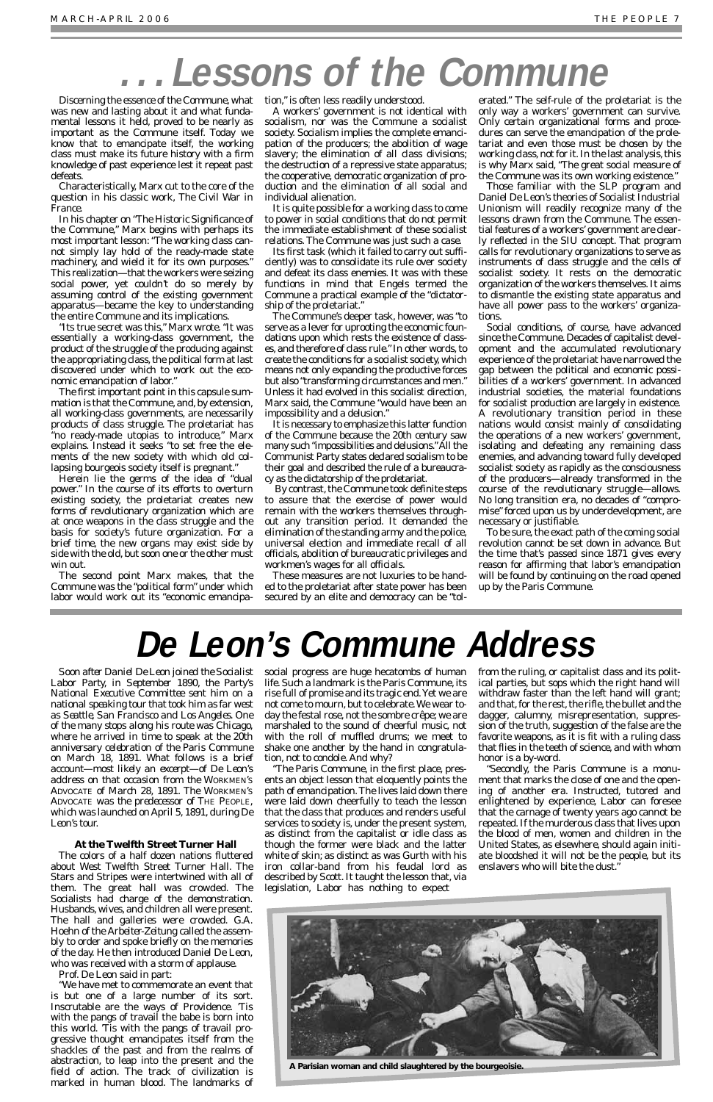Discerning the essence of the Commune, what tion," is often less readily understood. was new and lasting about it and what fundamental lessons it held, proved to be nearly as important as the Commune itself. Today we know that to emancipate itself, the working class must make its future history with a firm knowledge of past experience lest it repeat past defeats.

Characteristically, Marx cut to the core of the question in his classic work, *The Civil War in France*.

In his chapter on "The Historic Significance of the Commune," Marx begins with perhaps its most important lesson: "The working class cannot simply lay hold of the ready-made state machinery, and wield it for its own purposes." This realization—that the workers were seizing social power, yet couldn't do so merely by assuming control of the existing government apparatus—became the key to understanding the entire Commune and its implications.

"Its true secret was this," Marx wrote. "It was essentially a working-class government, the product of the struggle of the producing against the appropriating class, the political form at last discovered under which to work out the economic emancipation of labor."

The first important point in this capsule summation is that the Commune, and, by extension, all working-class governments, are necessarily products of class struggle. The proletariat has "no ready-made utopias to introduce," Marx explains. Instead it seeks "to set free the elements of the new society with which old collapsing bourgeois society itself is pregnant."

Herein lie the germs of the idea of "dual power." In the course of its efforts to overturn existing society, the proletariat creates new forms of revolutionary organization which are at once weapons in the class struggle and the basis for society's future organization. For a brief time, the new organs may exist side by side with the old, but soon one or the other must win out.

The second point Marx makes, that the Commune was the "political form" under which labor would work out its "economic emancipa-

By contrast, the Commune took definite steps to assure that the exercise of power would remain with the workers themselves throughout any transition period. It demanded the elimination of the standing army and the police, universal election and immediate recall of all officials, abolition of bureaucratic privileges and workmen's wages for all officials.

A workers' government is not identical with socialism, nor was the Commune a socialist society. Socialism implies the complete emancipation of the producers; the abolition of wage slavery; the elimination of all class divisions; the destruction of a repressive state apparatus; the cooperative, democratic organization of production and the elimination of all social and individual alienation.

It is quite possible for a working class to come to power in social conditions that do not permit the immediate establishment of these socialist relations. The Commune was just such a case.

Its first task (which it failed to carry out sufficiently) was to consolidate its rule over society and defeat its class enemies. It was with these functions in mind that Engels termed the Commune a practical example of the "dictatorship of the proletariat."

The Commune's deeper task, however, was "to serve as a lever for uprooting the economic foundations upon which rests the existence of classes, and therefore of class rule." In other words, to create the conditions for a socialist society,which means not only expanding the productive forces but also "transforming circumstances and men." Unless it had evolved in this socialist direction, Marx said, the Commune "would have been an impossibility and a delusion."

It is necessary to emphasize this latter function of the Commune because the 20th century saw many such "impossibilities and delusions."All the Communist Party states declared socialism to be their goal and described the rule of a bureaucracy as the dictatorship of the proletariat.

These measures are not luxuries to be handed to the proletariat after state power has been secured by an elite and democracy can be "tol-

erated." The self-rule of the proletariat is the only way a workers' government can survive. Only certain organizational forms and procedures can serve the emancipation of the proletariat and even those must be chosen by the working class, not for it. In the last analysis, this is why Marx said, "The great social measure of the Commune was its own working existence."

Those familiar with the SLP program and Daniel De Leon's theories of Socialist Industrial Unionism will readily recognize many of the lessons drawn from the Commune. The essential features of a workers' government are clearly reflected in the SIU concept. That program calls for revolutionary organizations to serve as instruments of class struggle and the cells of socialist society. It rests on the democratic organization of the workers themselves. It aims to dismantle the existing state apparatus and have all power pass to the workers' organizations.

Social conditions, of course, have advanced since the Commune. Decades of capitalist development and the accumulated revolutionary experience of the proletariat have narrowed the gap between the political and economic possibilities of a workers' government. In advanced industrial societies, the material foundations for socialist production are largely in existence. A revolutionary transition period in these nations would consist mainly of consolidating the operations of a new workers' government, isolating and defeating any remaining class enemies, and advancing toward fully developed socialist society as rapidly as the consciousness of the producers—already transformed in the course of the revolutionary struggle—allows. No long transition era, no decades of "compromise" forced upon us by underdevelopment, are necessary or justifiable.

To be sure, the exact path of the coming social revolution cannot be set down in advance. But the time that's passed since 1871 gives every reason for affirming that labor's emancipation will be found by continuing on the road opened up by the Paris Commune.

*Soon after Daniel De Leon joined the Socialist Labor Party, in September 1890, the Party's National Executive Committee sent him on a national speaking tour that took him as far west as Seattle, San Francisco and Los Angeles. One of the many stops along his route was Chicago, where he arrived in time to speak at the 20th anniversary celebration of the Paris Commune on March 18, 1891. What follows is a brief account—most likely an excerpt—of De Leon's address on that occasion from the* WORKMEN'S ADVOCATE *of March 28, 1891. The* WORKMEN'S ADVOCATE *was the predecessor of* THE PEOPLE*, which was launched on April 5, 1891, during De Leon's tour.*

### **At the Twelfth Street Turner Hall**

The colors of a half dozen nations fluttered about West Twelfth Street Turner Hall. The Stars and Stripes were intertwined with all of them. The great hall was crowded. The Socialists had charge of the demonstration. Husbands, wives, and children all were present. The hall and galleries were crowded. G.A. Hoehn of the *Arbeiter-Zeitung* called the assembly to order and spoke briefly on the memories of the day. He then introduced Daniel De Leon, who was received with a storm of applause.

Prof. De Leon said in part:

"We have met to commemorate an event that is but one of a large number of its sort. Inscrutable are the ways of Providence. 'Tis with the pangs of travail the babe is born into this world. 'Tis with the pangs of travail progressive thought emancipates itself from the shackles of the past and from the realms of abstraction, to leap into the present and the field of action. The track of civilization is marked in human blood. The landmarks of



social progress are huge hecatombs of human life. Such a landmark is the Paris Commune, its rise full of promise and its tragic end.Yet we are not come to mourn, but to celebrate.We wear today the festal rose, not the sombre crêpe; we are marshaled to the sound of cheerful music, not with the roll of muffled drums; we meet to shake one another by the hand in congratulation, not to condole. And why?

"The Paris Commune, in the first place, presents an object lesson that eloquently points the path of emancipation. The lives laid down there were laid down cheerfully to teach the lesson that the class that produces and renders useful services to society is, under the present system, as distinct from the capitalist or idle class as though the former were black and the latter white of skin; as distinct as was Gurth with his iron collar-band from his feudal lord as described by Scott. It taught the lesson that, via legislation, Labor has nothing to expect

from the ruling, or capitalist class and its political parties, but sops which the right hand will withdraw faster than the left hand will grant; and that, for the rest, the rifle, the bullet and the dagger, calumny, misrepresentation, suppression of the truth, suggestion of the false are the favorite weapons, as it is fit with a ruling class that flies in the teeth of science, and with whom honor is a by-word.

"Secondly, the Paris Commune is a monument that marks the close of one and the opening of another era. Instructed, tutored and enlightened by experience, Labor can foresee that the carnage of twenty years ago cannot be repeated. If the murderous class that lives upon the blood of men, women and children in the United States, as elsewhere, should again initiate bloodshed it will not be the people, but its enslavers who will bite the dust."

# **...Lessons of the Commune**

## **De Leon's Commune Address**

**A Parisian woman and child slaughtered by the bourgeoisie.**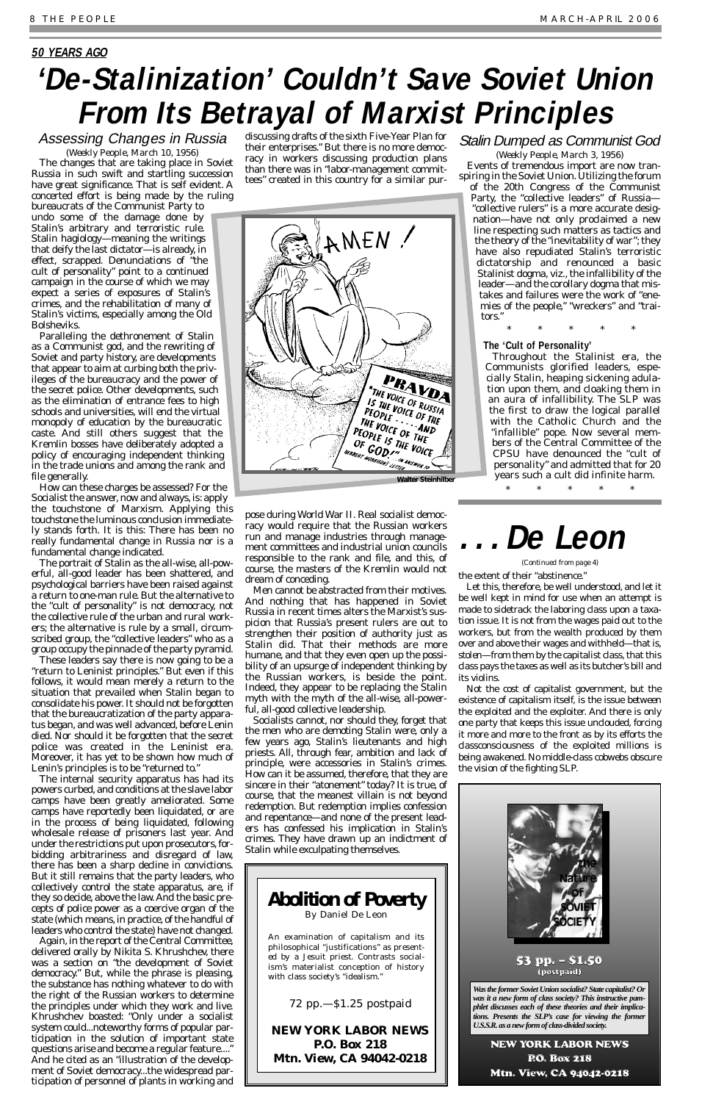(*Weekly People*, March 10, 1956) The changes that are taking place in Soviet Russia in such swift and startling succession have great significance. That is self evident. A concerted effort is being made by the ruling

bureaucrats of the Communist Party to undo some of the damage done by Stalin's arbitrary and terroristic rule. Stalin hagiology—meaning the writings that deify the last dictator—is already, in effect, scrapped. Denunciations of "the cult of personality" point to a continued campaign in the course of which we may expect a series of exposures of Stalin's crimes, and the rehabilitation of many of Stalin's victims, especially among the Old Bolsheviks.

Paralleling the dethronement of Stalin as a Communist god, and the rewriting of Soviet and party history, are developments that appear to aim at curbing both the privileges of the bureaucracy and the power of the secret police. Other developments, such as the elimination of entrance fees to high schools and universities, will end the virtual monopoly of education by the bureaucratic caste. And still others suggest that the Kremlin bosses have deliberately adopted a policy of encouraging independent thinking in the trade unions and among the rank and file generally.

How can these charges be assessed? For the Socialist the answer, now and always, is: apply the touchstone of Marxism. Applying this touchstone the luminous conclusion immediately stands forth. It is this: There has been no really fundamental change in Russia nor is a fundamental change indicated.

The portrait of Stalin as the all-wise, all-powerful, all-good leader has been shattered, and psychological barriers have been raised against a return to one-man rule. But the alternative to the "cult of personality" is not democracy, not the collective rule of the urban and rural workers; the alternative is rule by a small, circumscribed group, the "collective leaders" who as a group occupy the pinnacle of the party pyramid.

These leaders say there is now going to be a "return to Leninist principles." But even if this follows, it would mean merely a return to the situation that prevailed when Stalin began to consolidate his power. It should not be forgotten that the bureaucratization of the party apparatus began, and was well advanced, before Lenin died. Nor should it be forgotten that the secret police was created in the Leninist era. Moreover, it has yet to be shown how much of Lenin's principles is to be "returned to."

The internal security apparatus has had its powers curbed, and conditions at the slave labor camps have been greatly ameliorated. Some camps have reportedly been liquidated, or are in the process of being liquidated, following wholesale release of prisoners last year. And under the restrictions put upon prosecutors, forbidding arbitrariness and disregard of law, there has been a sharp decline in convictions. But it still remains that the party leaders, who collectively control the state apparatus, are, if they so decide, above the law. And the basic precepts of police power as a coercive organ of the state (which means, in practice, of the handful of leaders who control the state) have not changed. Again, in the report of the Central Committee, delivered orally by Nikita S. Khrushchev, there was a section on "the development of Soviet democracy." But, while the phrase is pleasing, the substance has nothing whatever to do with the right of the Russian workers to determine the principles under which they work and live. Khrushchev boasted: "Only under a socialist system could...noteworthy forms of popular participation in the solution of important state questions arise and become a regular feature...." And he cited as an "illustration of the development of Soviet democracy...the widespread participation of personnel of plants in working and

### Assessing Changes in Russia **50 YEARS AGO 'De-Stalinization' Couldn't Save Soviet Union From Its Betrayal of Marxist Principles**

discussing drafts of the sixth Five-Year Plan for their enterprises." But there is no more democracy in workers discussing production plans than there was in "labor-management committees" created in this country for a similar pur-

pose during World War II. Real socialist democracy would require that the Russian workers run and manage industries through management committees and industrial union councils responsible to the rank and file, and this, of course, the masters of the Kremlin would not dream of conceding.

Men cannot be abstracted from their motives. And nothing that has happened in Soviet Russia in recent times alters the Marxist's suspicion that Russia's present rulers are out to strengthen their position of authority just as Stalin did. That their methods are more humane, and that they even open up the possibility of an upsurge of independent thinking by the Russian workers, is beside the point. Indeed, they appear to be replacing the Stalin myth with the myth of the all-wise, all-powerful, all-good collective leadership.

Socialists cannot, nor should they, forget that the men who are demoting Stalin were, only a few years ago, Stalin's lieutenants and high priests. All, through fear, ambition and lack of principle, were accessories in Stalin's crimes. How can it be assumed, therefore, that they are sincere in their "atonement" today? It is true, of course, that the meanest villain is not beyond redemption. But redemption implies confession and repentance—and none of the present leaders has confessed his implication in Stalin's crimes. They have drawn up an indictment of Stalin while exculpating themselves.

### Stalin Dumped as Communist God

(*Weekly People*, March 3, 1956) Events of tremendous import are now transpiring in the Soviet Union. Utilizing the forum

of the 20th Congress of the Communist Party, the "collective leaders" of Russia— "collective rulers" is a more accurate designation—have not only proclaimed a new line respecting such matters as tactics and the theory of the "inevitability of war"; they have also repudiated Stalin's terroristic dictatorship and renounced a basic Stalinist dogma, viz., the infallibility of the leader—and the corollary dogma that mistakes and failures were the work of "enemies of the people," "wreckers" and "traitors."

\* \* \* \* \*

### **The 'Cult of Personality'**

Throughout the Stalinist era, the Communists glorified leaders, especially Stalin, heaping sickening adulation upon them, and cloaking them in an aura of infallibility. The SLP was the first to draw the logical parallel with the Catholic Church and the "infallible" pope. Now several members of the Central Committee of the CPSU have denounced the "cult of personality" and admitted that for 20 years such a cult did infinite harm.

\* \* \* \* \*



### **Abolition of Poverty** By Daniel De Leon

An examination of capitalism and its philosophical "justifications" as presented by a Jesuit priest. Contrasts socialism's materialist conception of history with class society's "idealism."

### 72 pp.—\$1.25 postpaid

**NEW YORK LABOR NEWS P.O. Box 218 Mtn. View, CA 94042-0218**

the extent of their "abstinence."

Let this, therefore, be well understood, and let it be well kept in mind for use when an attempt is made to sidetrack the laboring class upon a taxation issue. It is not from the wages paid out to the workers, but from the wealth produced by them over and above their wages and withheld—that is, *stolen*—from them by the capitalist class, that this class pays the taxes as well as its butcher's bill and its violins.

Not the cost of capitalist government, but the existence of capitalism itself, is the issue between the exploited and the exploiter. And there is only one party that keeps this issue unclouded, forcing it more and more to the front as by its efforts the classconsciousness of the exploited millions is being awakened. No middle-class cobwebs obscure the vision of the fighting SLP.



## **. . . De Leon**

*(Continued from page 4)*

*Was the former Soviet Union socialist? State capitalist? Or was it a new form of class society? This instructive pamphlet discusses each of these theories and their implications. Presents the SLP's case for viewing the former U.S.S.R. as a new form of class-divided society.*



NEW YORK LABOR NEWS P.O. Box 218 Mtn. View, CA 94042-0218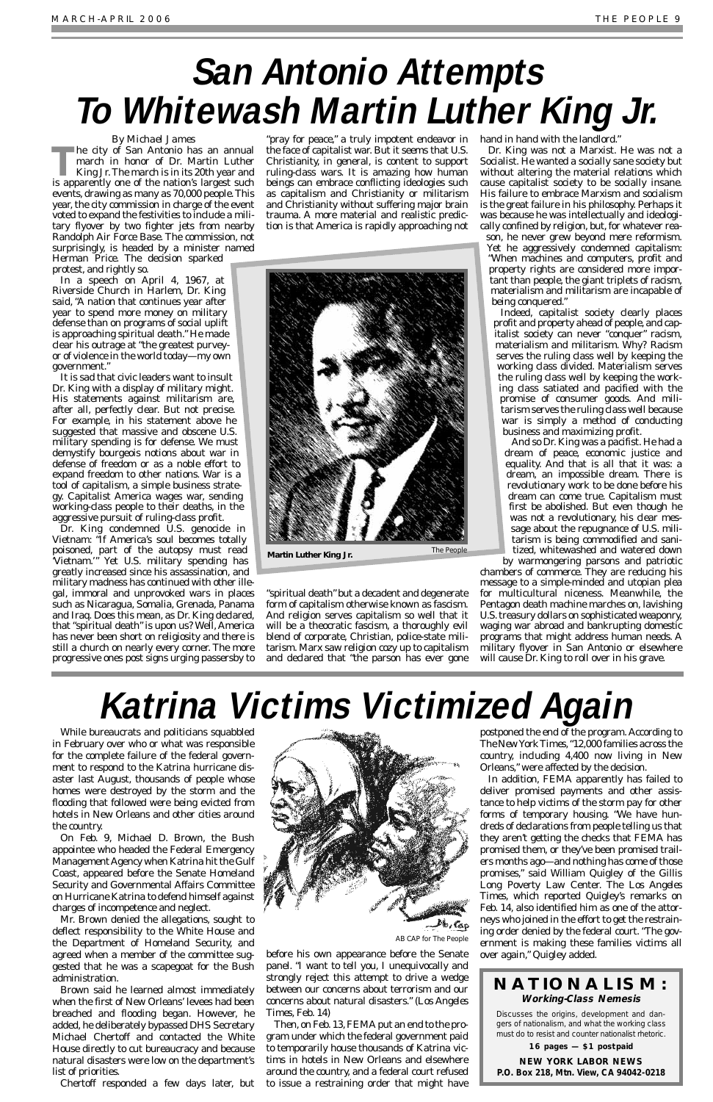### *By Michael James*

**The city of San Antonio has an annual march in honor of Dr. Martin Luther King Jr. The march is in its 20th year and is announced** march in honor of Dr. Martin Luther King Jr.The march is in its 20th year and is apparently one of the nation's largest such events, drawing as many as 70,000 people.This year, the city commission in charge of the event voted to expand the festivities to include a military flyover by two fighter jets from nearby Randolph Air Force Base. The commission, not surprisingly, is headed by a minister named

Herman Price. The decision sparked protest, and rightly so.

In a speech on April 4, 1967, at Riverside Church in Harlem, Dr. King said, "A nation that continues year after year to spend more money on military defense than on programs of social uplift is approaching spiritual death." He made clear his outrage at "the greatest purveyor of violence in the world today—my own government."

It is sad that civic leaders want to insult Dr. King with a display of military might. His statements against militarism are, after all, perfectly clear. But not precise. For example, in his statement above he suggested that massive and obscene U.S. military spending is for defense. We must demystify bourgeois notions about war in defense of freedom or as a noble effort to expand freedom to other nations. War is a tool of capitalism, a simple business strategy. Capitalist America wages war, sending working-class people to their deaths, in the aggressive pursuit of ruling-class profit.

Dr. King condemned U.S. genocide in Vietnam: "If America's soul becomes totally poisoned, part of the autopsy must read 'Vietnam.'" Yet U.S. military spending has greatly increased since his assassination, and military madness has continued with other illegal, immoral and unprovoked wars in places such as Nicaragua, Somalia, Grenada, Panama and Iraq. Does this mean, as Dr. King declared, that "spiritual death" is upon us? Well, America has never been short on religiosity and there is still a church on nearly every corner. The more progressive ones post signs urging passersby to

"pray for peace," a truly impotent endeavor in the face of capitalist war. But it seems that U.S. Christianity, in general, is content to support ruling-class wars. It is amazing how human beings can embrace conflicting ideologies such as capitalism and Christianity or militarism and Christianity without suffering major brain trauma. A more material and realistic prediction is that America is rapidly approaching not

"spiritual death" but a decadent and degenerate form of capitalism otherwise known as fascism. And religion serves capitalism so well that it will be a theocratic fascism, a thoroughly evil blend of corporate, Christian, police-state militarism. Marx saw religion cozy up to capitalism and declared that "the parson has ever gone hand in hand with the landlord.

Dr. King was not a Marxist. He was not a Socialist. He wanted a socially sane society but without altering the material relations which cause capitalist society to be socially insane. His failure to embrace Marxism and socialism is the great failure in his philosophy. Perhaps it was because he was intellectually and ideologically confined by religion, but, for whatever reason, he never grew beyond mere reformism. Yet he aggressively condemned capitalism: "When machines and computers, profit and property rights are considered more impor-

Then, on Feb. 13, FEMA put an end to the program under which the federal government paid to temporarily house thousands of Katrina victims in hotels in New Orleans and elsewhere around the country, and a federal court refused to issue a restraining order that might have tant than people, the giant triplets of racism, materialism and militarism are incapable of being conquered." Indeed, capitalist society clearly places profit and property ahead of people, and capitalist society can never "conquer" racism, materialism and militarism. Why? Racism serves the ruling class well by keeping the working class divided. Materialism serves the ruling class well by keeping the working class satiated and pacified with the promise of consumer goods. And militarism serves the ruling class well because

war is simply a method of conducting business and maximizing profit. And so Dr. King was a pacifist. He had a dream of peace, economic justice and equality. And that is all that it was: a dream, an impossible dream. There is revolutionary work to be done before his dream can come true. Capitalism must first be abolished. But even though he

was not a revolutionary, his clear message about the repugnance of U.S. militarism is being commodified and sanitized, whitewashed and watered down

by warmongering parsons and patriotic chambers of commerce. They are reducing his message to a simple-minded and utopian plea for multicultural niceness. Meanwhile, the Pentagon death machine marches on, lavishing U.S.treasury dollars on sophisticated weaponry, waging war abroad and bankrupting domestic programs that might address human needs. A military flyover in San Antonio or elsewhere will cause Dr. King to roll over in his grave.

While bureaucrats and politicians squabbled in February over who or what was responsible for the complete failure of the federal government to respond to the Katrina hurricane disaster last August, thousands of people whose homes were destroyed by the storm and the flooding that followed were being evicted from



hotels in New Orleans and other cities around the country.

On Feb. 9, Michael D. Brown, the Bush appointee who headed the Federal Emergency Management Agency when Katrina hit the Gulf Coast, appeared before the Senate Homeland Security and Governmental Affairs Committee on Hurricane Katrina to defend himself against charges of incompetence and neglect.

Mr. Brown denied the allegations, sought to deflect responsibility to the White House and the Department of Homeland Security, and agreed when a member of the committee suggested that he was a scapegoat for the Bush administration.

Brown said he learned almost immediately when the first of New Orleans' levees had been breached and flooding began. However, he added, he deliberately bypassed DHS Secretary Michael Chertoff and contacted the White House directly to cut bureaucracy and because natural disasters were low on the department's list of priorities.

Chertoff responded a few days later, but

before his own appearance before the Senate panel. "I want to tell you, I unequivocally and strongly reject this attempt to drive a wedge between our concerns about terrorism and our concerns about natural disasters." (*Los Angeles Times*, Feb. 14)

postponed the end of the program. According to *The New York Times*,"12,000 families across the country, including 4,400 now living in New Orleans," were affected by the decision.

In addition, FEMA apparently has failed to deliver promised payments and other assistance to help victims of the storm pay for other forms of temporary housing. "We have hundreds of declarations from people telling us that they aren't getting the checks that FEMA has promised them, or they've been promised trailers months ago—and nothing has come of those promises," said William Quigley of the Gillis Long Poverty Law Center. The *Los Angeles Times*, which reported Quigley's remarks on Feb. 14, also identified him as one of the attorneys who joined in the effort to get the restraining order denied by the federal court. "The government is making these families victims all over again," Quigley added.

# **San Antonio Attempts To Whitewash Martin Luther King Jr.**

# **Katrina Victims Victimized Again**

AB CAP for The People



### **NATIONALISM: Working-Class Nemesis**

Discusses the origins, development and dangers of nationalism, and what the working class must do to resist and counter nationalist rhetoric.

**16 pages — \$1 postpaid**

**NEW YORK LABOR NEWS P.O. Box 218, Mtn. View, CA 94042-0218**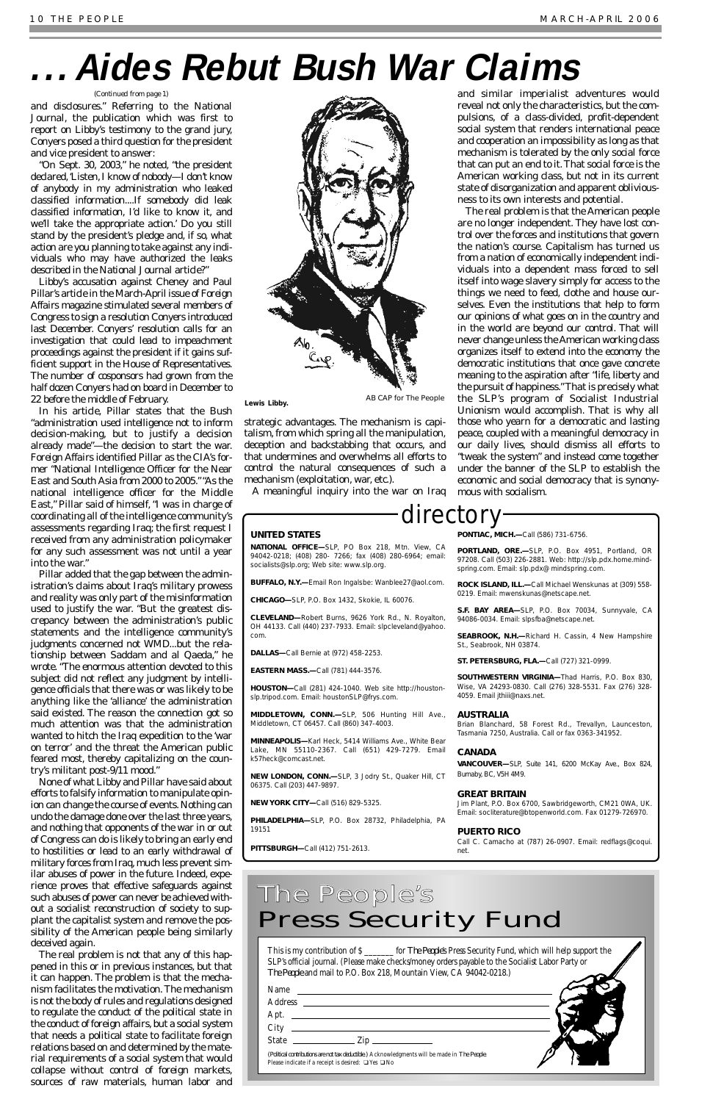and disclosures." Referring to the *National Journal*, the publication which was first to report on Libby's testimony to the grand jury, Conyers posed a third question for the president and vice president to answer:

"On Sept. 30, 2003," he noted, "the president declared, 'Listen, I know of nobody-I don't know of anybody in my administration who leaked classified information....If somebody did leak classified information, I'd like to know it, and we'll take the appropriate action.' Do you still stand by the president's pledge and, if so, what action are you planning to take against any individuals who may have authorized the leaks described in the *National Journal* article?"

Libby's accusation against Cheney and Paul Pillar's article in the March-April issue of *Foreign Affairs* magazine stimulated several members of Congress to sign a resolution Conyers introduced last December. Conyers' resolution calls for an investigation that could lead to impeachment proceedings against the president if it gains sufficient support in the House of Representatives. The number of cosponsors had grown from the half dozen Conyers had on board in December to 22 before the middle of February.

In his article, Pillar states that the Bush "administration used intelligence not to inform decision-making, but to justify a decision already made"—the decision to start the war. *Foreign Affairs* identified Pillar as the CIA's former "National Intelligence Officer for the Near East and South Asia from 2000 to 2005.""As the national intelligence officer for the Middle East," Pillar said of himself, "I was in charge of coordinating all of the intelligence community's assessments regarding Iraq; the first request I received from any administration policymaker for any such assessment was not until a year into the war."

Pillar added that the gap between the administration's claims about Iraq's military prowess and reality was only part of the misinformation used to justify the war. "But the greatest discrepancy between the administration's public statements and the intelligence community's judgments concerned not WMD...but the relationship between Saddam and al Qaeda," he wrote. "The enormous attention devoted to this subject did not reflect any judgment by intelligence officials that there was or was likely to be anything like the 'alliance' the administration said existed. The reason the connection got so much attention was that the administration wanted to hitch the Iraq expedition to the 'war on terror' and the threat the American public feared most, thereby capitalizing on the country's militant post-9/11 mood."

None of what Libby and Pillar have said about efforts to falsify information to manipulate opinion can change the course of events. Nothing can undo the damage done over the last three years, and nothing that opponents of the war in or out of Congress can do is likely to bring an early end to hostilities or lead to an early withdrawal of military forces from Iraq, much less prevent similar abuses of power in the future. Indeed, experience proves that effective safeguards against such abuses of power can never be achieved without a socialist reconstruction of society to supplant the capitalist system and remove the possibility of the American people being similarly deceived again. The real problem is not that any of this happened in this or in previous instances, but that it can happen. The problem is that the mechanism facilitates the motivation. The mechanism is not the body of rules and regulations designed to regulate the conduct of the political state in the conduct of foreign affairs, but a social system that needs a political state to facilitate foreign relations based on and determined by the material requirements of a social system that would collapse without control of foreign markets, sources of raw materials, human labor and



**PORTLAND, ORE.—**SLP, P.O. Box 4951, Portland, OR 97208. Call (503) 226-2881. Web: http://slp.pdx.home.mindspring.com. Email: slp.pdx@ mindspring.com.

strategic advantages. The mechanism is capitalism, from which spring all the manipulation, deception and backstabbing that occurs, and that undermines and overwhelms all efforts to control the natural consequences of such a mechanism (exploitation, war, etc.).

A meaningful inquiry into the war on Iraq

and similar imperialist adventures would reveal not only the characteristics, but the compulsions, of a class-divided, profit-dependent social system that renders international peace and cooperation an impossibility as long as that mechanism is tolerated by the only social force that can put an end to it.That social force is the American working class, but not in its current state of disorganization and apparent obliviousness to its own interests and potential.

The real problem is that the American people are no longer independent. They have lost control over the forces and institutions that govern the nation's course. Capitalism has turned us from a nation of economically independent individuals into a dependent mass forced to sell itself into wage slavery simply for access to the things we need to feed, clothe and house ourselves. Even the institutions that help to form our opinions of what goes on in the country and in the world are beyond our control. That will never change unless the American working class organizes itself to extend into the economy the democratic institutions that once gave concrete meaning to the aspiration after "life, liberty and the pursuit of happiness."That is precisely what the SLP's program of Socialist Industrial Unionism would accomplish. That is why all those who yearn for a democratic and lasting peace, coupled with a meaningful democracy in our daily lives, should dismiss all efforts to "tweak the system" and instead come together under the banner of the SLP to establish the economic and social democracy that is synonymous with socialism.

## **. . .Aides Rebut Bush War Claims**

### *(Continued from page 1)*

### directory

### **UNITED STATES**

**NATIONAL OFFICE—**SLP, PO Box 218, Mtn. View, CA 94042-0218; (408) 280- 7266; fax (408) 280-6964; email: socialists@slp.org; Web site: www.slp.org.

**BUFFALO, N.Y.—**Email Ron Ingalsbe: Wanblee27@aol.com.

**CHICAGO—**SLP, P.O. Box 1432, Skokie, IL 60076.

**CLEVELAND—**Robert Burns, 9626 York Rd., N. Royalton, OH 44133. Call (440) 237-7933. Email: slpcleveland@yahoo. com.

**DALLAS—**Call Bernie at (972) 458-2253.

**EASTERN MASS.—**Call (781) 444-3576.

**HOUSTON—**Call (281) 424-1040. Web site http://houstonslp.tripod.com. Email: houstonSLP@frys.com.

**MIDDLETOWN, CONN.—**SLP, 506 Hunting Hill Ave., Middletown, CT 06457. Call (860) 347-4003.

**MINNEAPOLIS—**Karl Heck, 5414 Williams Ave., White Bear Lake, MN 55110-2367. Call (651) 429-7279. Email k57heck@comcast.net.

**NEW LONDON, CONN.—**SLP, 3 Jodry St., Quaker Hill, CT 06375. Call (203) 447-9897.

**NEW YORK CITY—**Call (516) 829-5325.

**PHILADELPHIA—**SLP, P.O. Box 28732, Philadelphia, PA 19151

**PITTSBURGH—**Call (412) 751-2613.

**PONTIAC, MICH.—**Call (586) 731-6756.

**ROCK ISLAND, ILL.—**Call Michael Wenskunas at (309) 558- 0219. Email: mwenskunas@netscape.net.

**S.F. BAY AREA—**SLP, P.O. Box 70034, Sunnyvale, CA 94086-0034. Email: slpsfba@netscape.net.

**SEABROOK, N.H.—**Richard H. Cassin, 4 New Hampshire St., Seabrook, NH 03874.

**ST. PETERSBURG, FLA.—**Call (727) 321-0999.

**SOUTHWESTERN VIRGINIA—**Thad Harris, P.O. Box 830, Wise, VA 24293-0830. Call (276) 328-5531. Fax (276) 328- 4059. Email jthiii@naxs.net.

#### **AUSTRALIA**

Brian Blanchard, 58 Forest Rd., Trevallyn, Launceston, Tasmania 7250, Australia. Call or fax 0363-341952.

#### **CANADA**

**VANCOUVER—**SLP, Suite 141, 6200 McKay Ave., Box 824, Burnaby, BC, V5H 4M9.

#### **GREAT BRITAIN**

Jim Plant, P.O. Box 6700, Sawbridgeworth, CM21 0WA, UK.

Email: socliterature@btopenworld.com. Fax 01279-726970.

### **PUERTO RICO**

Call C. Camacho at (787) 26-0907. Email: redflags@coqui. net.

This is my contribution of \$ \_\_\_\_\_\_\_ for *The People*'s Press Security Fund, which will help support the SLP's official journal. (Please make checks/money orders payable to the Socialist Labor Party or *The People* and mail to P.O. Box 218, Mountain View, CA 94042-0218.)

| Name                                                                                                                                                                                                                                                                                                                         |  |
|------------------------------------------------------------------------------------------------------------------------------------------------------------------------------------------------------------------------------------------------------------------------------------------------------------------------------|--|
| <b>Address</b><br>the control of the control of the control of the control of the control of the control of the control of the control of the control of the control of the control of the control of the control of the control of the control                                                                              |  |
| Apt.                                                                                                                                                                                                                                                                                                                         |  |
| City                                                                                                                                                                                                                                                                                                                         |  |
| State<br>$\frac{1}{2}$ $\frac{1}{2}$ $\frac{1}{2}$ $\frac{1}{2}$ $\frac{1}{2}$ $\frac{1}{2}$ $\frac{1}{2}$ $\frac{1}{2}$ $\frac{1}{2}$ $\frac{1}{2}$ $\frac{1}{2}$ $\frac{1}{2}$ $\frac{1}{2}$ $\frac{1}{2}$ $\frac{1}{2}$ $\frac{1}{2}$ $\frac{1}{2}$ $\frac{1}{2}$ $\frac{1}{2}$ $\frac{1}{2}$ $\frac{1}{2}$ $\frac{1}{2}$ |  |
| (Political contributions are not tax deductible.) Acknowledgments will be made in The People.<br>Please indicate if a receipt is desired: $\Box$<br>Yes $\Box$<br>No                                                                                                                                                         |  |

### The People's Press Security Fund

AB CAP for The People **Lewis Libby.**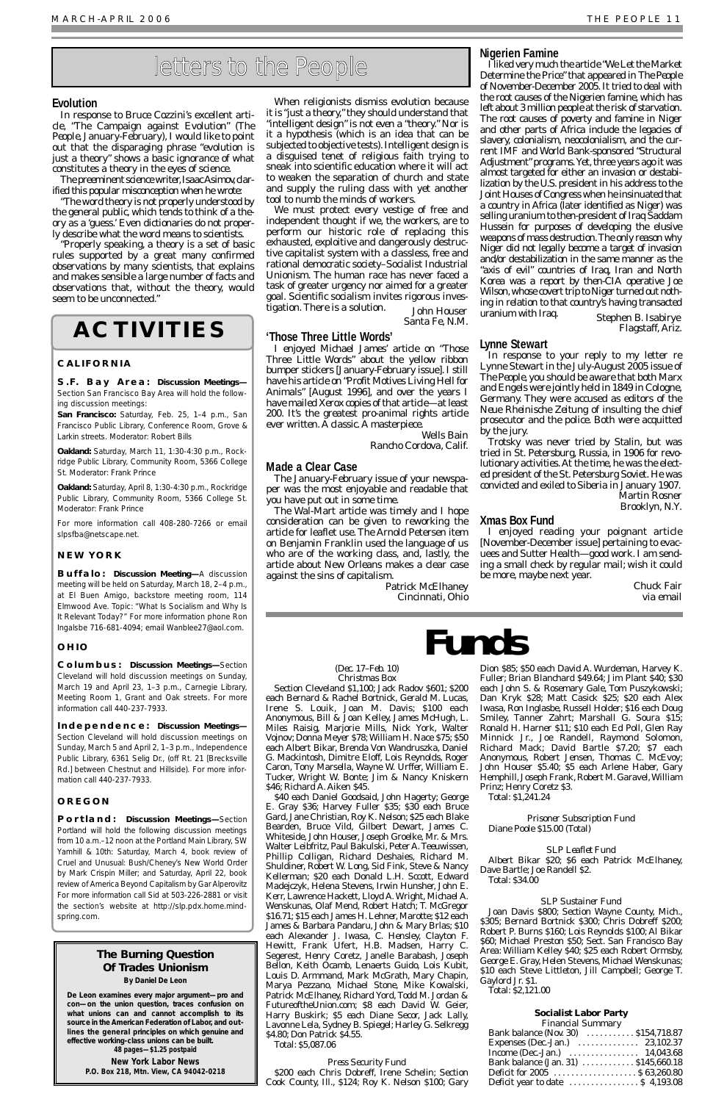### **Evolution**

In response to Bruce Cozzini's excellent article, "The Campaign against Evolution" (*The People*, January-February), I would like to point out that the disparaging phrase "evolution is just a theory" shows a basic ignorance of what constitutes a theory in the eyes of science.

The preeminent science writer, Isaac Asimov, clarified this popular misconception when he wrote:

"The word theory is not properly understood by the general public, which tends to think of a theory as a 'guess.' Even dictionaries do not properly describe what the word means to scientists.

We must protect every vestige of free and independent thought if we, the workers, are to perform our historic role of replacing this exhausted, exploitive and dangerously destructive capitalist system with a classless, free and rational democratic society–Socialist Industrial Unionism. The human race has never faced a task of greater urgency nor aimed for a greater goal. Scientific socialism invites rigorous investigation. There is a solution. John Houser

"Properly speaking, a theory is a set of basic rules supported by a great many confirmed observations by many scientists, that explains and makes sensible a large number of facts and observations that, without the theory, would seem to be unconnected."

When religionists dismiss evolution because it is "just a theory," they should understand that "intelligent design" is not *even* a "theory." Nor is it a hypothesis (which is an idea that can be subjected to objective tests). Intelligent design is a disguised tenet of religious faith trying to sneak into scientific education where it will act to weaken the separation of church and state and supply the ruling class with yet another tool to numb the minds of workers.

Santa Fe, N.M.

### **'Those Three Little Words'**

I enjoyed Michael James' article on "Those Three Little Words" about the yellow ribbon bumper stickers [January-February issue]. I still have his article on "Profit Motives Living Hell for Animals" [August 1996], and over the years I have mailed Xerox copies of that article—at least 200. It's the greatest pro-animal rights article ever written. A classic. A masterpiece.

> Wells Bain Rancho Cordova, Calif.

### **Made a Clear Case**

The January-February issue of your newspaper was the most enjoyable and readable that you have put out in some time.

The Wal-Mart article was timely and I hope consideration can be given to reworking the article for leaflet use. The Arnold Petersen item on Benjamin Franklin used the language of us who are of the working class, and, lastly, the article about New Orleans makes a clear case against the sins of capitalism.

> Patrick McElhaney Cincinnati, Ohio

### **Nigerien Famine**

I liked very much the article "We Let the Market Determine the Price" that appeared in *The People* of November-December 2005. It tried to deal with the root causes of the Nigerien famine, which has left about 3 million people at the risk of starvation. The root causes of poverty and famine in Niger and other parts of Africa include the legacies of slavery, colonialism, neocolonialism, and the current IMF and World Bank-sponsored "Structural Adjustment" programs. Yet, three years ago it was almost targeted for either an invasion or destabilization by the U.S. president in his address to the Joint Houses of Congress when he insinuated that a country in Africa (later identified as Niger) was selling uranium to then-president of Iraq Saddam Hussein for purposes of developing the elusive weapons of mass destruction.The only reason why Niger did not legally become a target of invasion and/or destabilization in the same manner as the "axis of evil" countries of Iraq, Iran and North Korea was a report by then-CIA operative Joe Wilson, whose covert trip to Niger turned out nothing in relation to that country's having transacted uranium with Iraq. Stephen B. Isabirye

Flagstaff, Ariz.

### **Lynne Stewart**

| Bank balance (Nov. 30)  \$154,718.87                        |  |
|-------------------------------------------------------------|--|
| Expenses (Dec.-Jan.)  23,102.37                             |  |
| Income (Dec.-Jan.) $\ldots \ldots \ldots \ldots 14,043.68$  |  |
| Bank balance (Jan. 31)  \$145,660.18                        |  |
| Deficit for 2005  \$ 63.260.80                              |  |
| Deficit year to date $\dots\dots\dots\dots\dots$ \$4,193.08 |  |

In response to your reply to my letter re Lynne Stewart in the July-August 2005 issue of *The People*, you should be aware that both Marx and Engels were jointly held in 1849 in Cologne, Germany. They were accused as editors of the *Neue Rheinische Zeitung* of insulting the chief prosecutor and the police. Both were acquitted by the jury.

Trotsky was never tried by Stalin, but was tried in St. Petersburg, Russia, in 1906 for revolutionary activities.At the time, he was the elected president of the St. Petersburg Soviet. He was convicted and exiled to Siberia in January 1907.

Martin Rosner Brooklyn, N.Y.

### **Xmas Box Fund**

I enjoyed reading your poignant article [November-December issue] pertaining to evacuees and Sutter Health—good work. I am sending a small check by regular mail; wish it could be more, maybe next year.

> Chuck Fair via email

#### *(Dec. 17–Feb. 10) Christmas Box*

Section Cleveland \$1,100; Jack Radov \$601; \$200 each Bernard & Rachel Bortnick, Gerald M. Lucas, Irene S. Louik, Joan M. Davis; \$100 each Anonymous, Bill & Joan Kelley, James McHugh, L. Miles Raisig, Marjorie Mills, Nick York, Walter Vojnov; Donna Meyer \$78; William H. Nace \$75; \$50 each Albert Bikar, Brenda Von Wandruszka, Daniel G. Mackintosh, Dimitre Eloff, Lois Reynolds, Roger Caron, Tony Marsella, Wayne W. Urffer, William E. Tucker, Wright W. Bonte; Jim & Nancy Kniskern \$46; Richard A. Aiken \$45.

\$40 each Daniel Goodsaid, John Hagerty; George E. Gray \$36; Harvey Fuller \$35; \$30 each Bruce Gard, Jane Christian, Roy K. Nelson; \$25 each Blake Bearden, Bruce Vild, Gilbert Dewart, James C. Whiteside, John Houser, Joseph Groelke, Mr. & Mrs. Walter Leibfritz, Paul Bakulski, Peter A.Teeuwissen, Phillip Colligan, Richard Deshaies, Richard M. Shuldiner, Robert W. Long, Sid Fink, Steve & Nancy Kellerman; \$20 each Donald L.H. Sccott, Edward Madejczyk, Helena Stevens, Irwin Hunsher, John E. Kerr, Lawrence Hackett, Lloyd A. Wright, Michael A. Wenskunas, Olaf Mend, Robert Hatch; T. McGregor \$16.71; \$15 each James H. Lehner, Marotte; \$12 each James & Barbara Pandaru, John & Mary Brlas; \$10 each Alexander J. Iwasa, C. Hensley, Clayton F. Hewitt, Frank Ufert, H.B. Madsen, Harry C. Segerest, Henry Coretz, Janelle Barabash, Joseph Bellon, Keith Ocamb, Lenaerts Guido, Lois Kubit, Louis D. Armmand, Mark McGrath, Mary Chapin, Marya Pezzano, Michael Stone, Mike Kowalski, Patrick McElhaney, Richard Yord, Todd M. Jordan & FutureoftheUnion.com; \$8 each David W. Geier, Harry Buskirk; \$5 each Diane Secor, Jack Lally, Lavonne Lela, Sydney B. Spiegel; Harley G. Selkregg \$4.80; Don Patrick \$4.55. Total: \$5,087.06

*Press Security Fund* \$200 each Chris Dobreff, Irene Schelin; Section Cook County, Ill., \$124; Roy K. Nelson \$100; Gary

Dion \$85; \$50 each David A. Wurdeman, Harvey K. Fuller; Brian Blanchard \$49.64; Jim Plant \$40; \$30 each John S. & Rosemary Gale, Tom Puszykowski; Dan Kryk \$28; Matt Casick \$25; \$20 each Alex Iwasa, Ron Inglasbe, Russell Holder; \$16 each Doug Smiley, Tanner Zahrt; Marshall G. Soura \$15; Ronald H. Harner \$11; \$10 each Ed Poll, Glen Ray Minnick Jr., Joe Randell, Raymond Solomon, Richard Mack; David Bartle \$7.20; \$7 each Anonymous, Robert Jensen, Thomas C. McEvoy; John Houser \$5.40; \$5 each Arlene Haber, Gary Hemphill, Joseph Frank, Robert M. Garavel, William Prinz; Henry Coretz \$3.

Total: \$1,241.24

*Prisoner Subscription Fund* Diane Poole \$15.00 (Total)

#### *SLP Leaflet Fund*

Albert Bikar \$20; \$6 each Patrick McElhaney, Dave Bartle; Joe Randell \$2.

Total: \$34.00

### *SLP Sustainer Fund*

Joan Davis \$800; Section Wayne County, Mich., \$305; Bernard Bortnick \$300; Chris Dobreff \$200; Robert P. Burns \$160; Lois Reynolds \$100; Al Bikar \$60; Michael Preston \$50; Sect. San Francisco Bay Area: William Kelley \$40; \$25 each Robert Ormsby, George E. Gray, Helen Stevens, Michael Wenskunas; \$10 each Steve Littleton, Jill Campbell; George T. Gaylord Jr. \$1.

Total: \$2,121.00

### **Socialist Labor Party**

*Financial Summary*

## **Funds**

### **ACTIVITIES**

### **CALIFORNIA**

**S.F. Bay Area: Discussion Meetings—** Section San Francisco Bay Area will hold the following discussion meetings:

**San Francisco:** Saturday, Feb. 25, 1–4 p.m., San Francisco Public Library, Conference Room, Grove & Larkin streets. Moderator: Robert Bills

**Oakland:** Saturday, March 11, 1:30-4:30 p.m., Rockridge Public Library, Community Room, 5366 College St. Moderator: Frank Prince

**Oakland:** Saturday, April 8, 1:30-4:30 p.m., Rockridge Public Library, Community Room, 5366 College St. Moderator: Frank Prince

For more information call 408-280-7266 or email slpsfba@netscape.net.

### **NEW YORK**

**Buffalo: Discussion Meeting—**A discussion meeting will be held on Saturday, March 18, 2–4 p.m., at El Buen Amigo, backstore meeting room, 114 Elmwood Ave. Topic: "What Is Socialism and Why Is It Relevant Today?" For more information phone Ron Ingalsbe 716-681-4094; email Wanblee27@aol.com.

### **OHIO**

**Columbus: Discussion Meetings—**Section Cleveland will hold discussion meetings on Sunday, March 19 and April 23, 1–3 p.m., Carnegie Library, Meeting Room 1, Grant and Oak streets. For more information call 440-237-7933.

**Independence: Discussion Meetings—** Section Cleveland will hold discussion meetings on Sunday, March 5 and April 2, 1–3 p.m., Independence Public Library, 6361 Selig Dr., (off Rt. 21 [Brecksville Rd.] between Chestnut and Hillside). For more information call 440-237-7933.

### **OREGON**

**Portland: Discussion Meetings—**Section Portland will hold the following discussion meetings from 10 a.m.–12 noon at the Portland Main Library, SW Yamhill & 10th: Saturday, March 4, book review of *Cruel and Unusual: Bush/Cheney's New World Order* by Mark Crispin Miller; and Saturday, April 22, book review of *America Beyond Capitalism* by Gar Alperovitz For more information call Sid at 503-226-2881 or visit the section's website at http://slp.pdx.home.mindspring.com.

### letters to the People

### *The Burning Question Of Trades Unionism*

**By Daniel De Leon**

**De Leon examines every major argument—pro and con—on the union question, traces confusion on what unions can and cannot accomplish to its source in the American Federation of Labor, and outlines the general principles on which genuine and effective working-class unions can be built.** 

**48 pages—\$1.25 postpaid**

**New York Labor News P.O. Box 218, Mtn. View, CA 94042-0218**